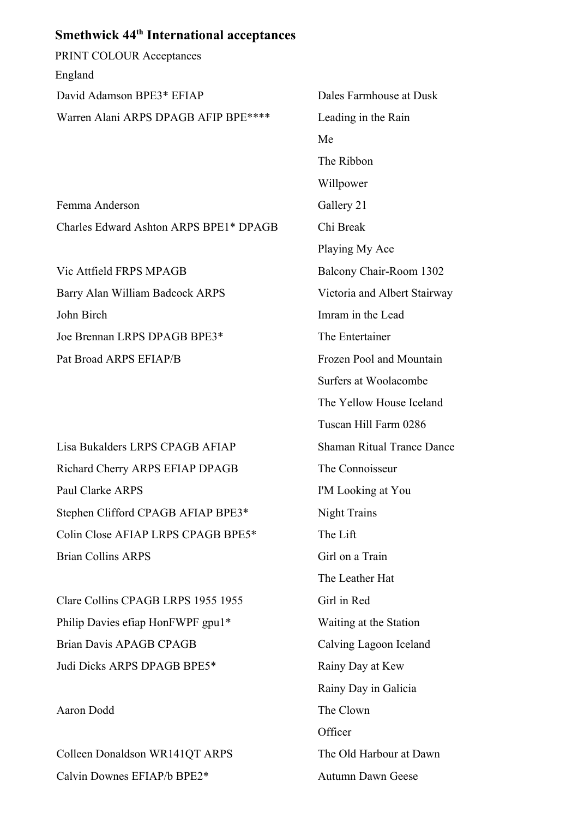## **Smethwick 44th International acceptances**

PRINT COLOUR Acceptances England David Adamson BPE3\* EFIAP Dales Farmhouse at Dusk Warren Alani ARPS DPAGB AFIP BPE\*\*\*\* Leading in the Rain

Femma Anderson Gallery 21 Charles Edward Ashton ARPS BPE1\* DPAGB Chi Break

Vic Attfield FRPS MPAGB Balcony Chair-Room 1302 Barry Alan William Badcock ARPS Victoria and Albert Stairway John Birch Imram in the Lead Joe Brennan LRPS DPAGB BPE3\* The Entertainer Pat Broad ARPS EFIAP/B Frozen Pool and Mountain

Lisa Bukalders LRPS CPAGB AFIAP Shaman Ritual Trance Dance Richard Cherry ARPS EFIAP DPAGB The Connoisseur Paul Clarke ARPS I'M Looking at You Stephen Clifford CPAGB AFIAP BPE3<sup>\*</sup> Night Trains Colin Close AFIAP LRPS CPAGB BPE5\* The Lift Brian Collins ARPS Girl on a Train

Clare Collins CPAGB LRPS 1955 1955 Girl in Red Philip Davies efiap HonFWPF gpu1\* Waiting at the Station Brian Davis APAGB CPAGB CPAGB Calving Lagoon Iceland Judi Dicks ARPS DPAGB BPE5\* Rainy Day at Kew

Aaron Dodd The Clown

Colleen Donaldson WR141QT ARPS The Old Harbour at Dawn Calvin Downes EFIAP/b BPE2<sup>\*</sup> Autumn Dawn Geese

Me The Ribbon Willpower Playing My Ace Surfers at Woolacombe The Yellow House Iceland Tuscan Hill Farm 0286 The Leather Hat Rainy Day in Galicia **Officer**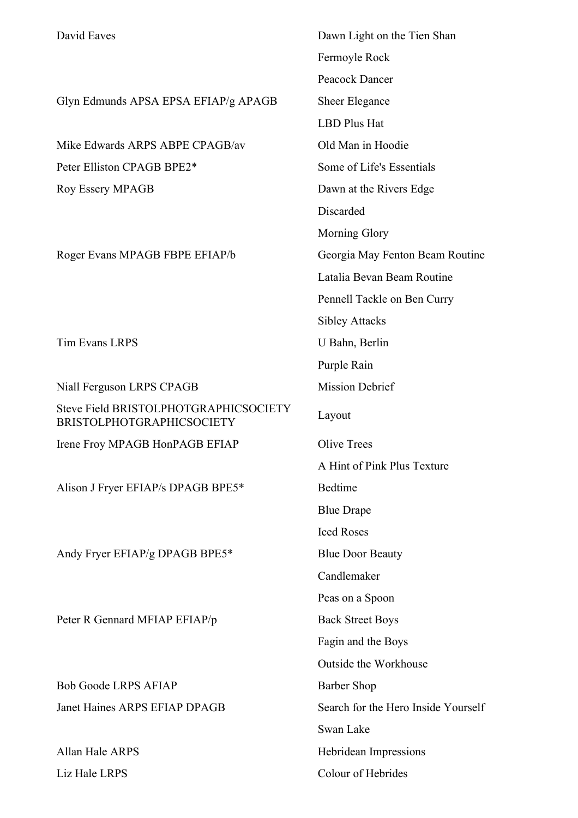Glyn Edmunds APSA EPSA EFIAP/g APAGB Sheer Elegance

Mike Edwards ARPS ABPE CPAGB/av Old Man in Hoodie Peter Elliston CPAGB BPE2<sup>\*</sup> Some of Life's Essentials Roy Essery MPAGB Dawn at the Rivers Edge

Roger Evans MPAGB FBPE EFIAP/b Georgia May Fenton Beam Routine

Tim Evans LRPS U Bahn, Berlin

Niall Ferguson LRPS CPAGB Mission Debrief Steve Field BRISTOLPHOTGRAPHICSOCIETY BRISTOLPHOTGRAPHICSOCIETY Layout Irene Froy MPAGB HonPAGB EFIAP Olive Trees Alison J Fryer EFIAP/s DPAGB BPE5\* Bedtime Andy Fryer EFIAP/g DPAGB BPE5<sup>\*</sup> Blue Door Beauty Peter R Gennard MFIAP EFIAP/p Back Street Boys

Bob Goode LRPS AFIAP Barber Shop Janet Haines ARPS EFIAP DPAGB Search for the Hero Inside Yourself

David Eaves Dawn Light on the Tien Shan Fermoyle Rock Peacock Dancer LBD Plus Hat Discarded Morning Glory Latalia Bevan Beam Routine Pennell Tackle on Ben Curry Sibley Attacks Purple Rain A Hint of Pink Plus Texture Blue Drape Iced Roses Candlemaker Peas on a Spoon Fagin and the Boys Outside the Workhouse Swan Lake Allan Hale ARPS Hebridean Impressions Liz Hale LRPS Colour of Hebrides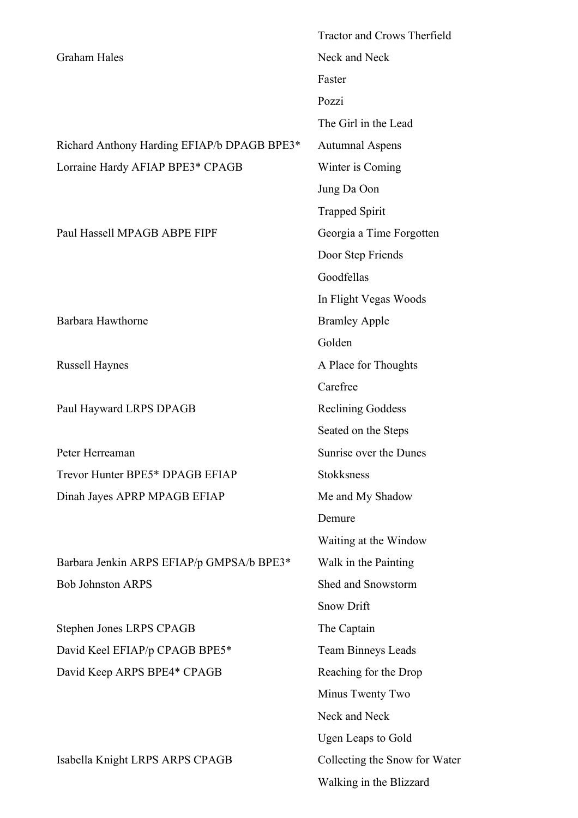|                                             | <b>Tractor and Crows Therfield</b> |
|---------------------------------------------|------------------------------------|
| <b>Graham Hales</b>                         | Neck and Neck                      |
|                                             | Faster                             |
|                                             | Pozzi                              |
|                                             | The Girl in the Lead               |
| Richard Anthony Harding EFIAP/b DPAGB BPE3* | <b>Autumnal Aspens</b>             |
| Lorraine Hardy AFIAP BPE3* CPAGB            | Winter is Coming                   |
|                                             | Jung Da Oon                        |
|                                             | <b>Trapped Spirit</b>              |
| Paul Hassell MPAGB ABPE FIPF                | Georgia a Time Forgotten           |
|                                             | Door Step Friends                  |
|                                             | Goodfellas                         |
|                                             | In Flight Vegas Woods              |
| Barbara Hawthorne                           | <b>Bramley Apple</b>               |
|                                             | Golden                             |
| <b>Russell Haynes</b>                       | A Place for Thoughts               |
|                                             | Carefree                           |
| Paul Hayward LRPS DPAGB                     | <b>Reclining Goddess</b>           |
|                                             | Seated on the Steps                |
| Peter Herreaman                             | Sunrise over the Dunes             |
| Trevor Hunter BPE5* DPAGB EFIAP             | Stokksness                         |
| Dinah Jayes APRP MPAGB EFIAP                | Me and My Shadow                   |
|                                             | Demure                             |
|                                             | Waiting at the Window              |
| Barbara Jenkin ARPS EFIAP/p GMPSA/b BPE3*   | Walk in the Painting               |
| <b>Bob Johnston ARPS</b>                    | Shed and Snowstorm                 |
|                                             | Snow Drift                         |
| Stephen Jones LRPS CPAGB                    | The Captain                        |
| David Keel EFIAP/p CPAGB BPE5*              | <b>Team Binneys Leads</b>          |
| David Keep ARPS BPE4* CPAGB                 | Reaching for the Drop              |
|                                             | Minus Twenty Two                   |
|                                             | Neck and Neck                      |
|                                             | <b>Ugen Leaps to Gold</b>          |
| Isabella Knight LRPS ARPS CPAGB             | Collecting the Snow for Water      |
|                                             | Walking in the Blizzard            |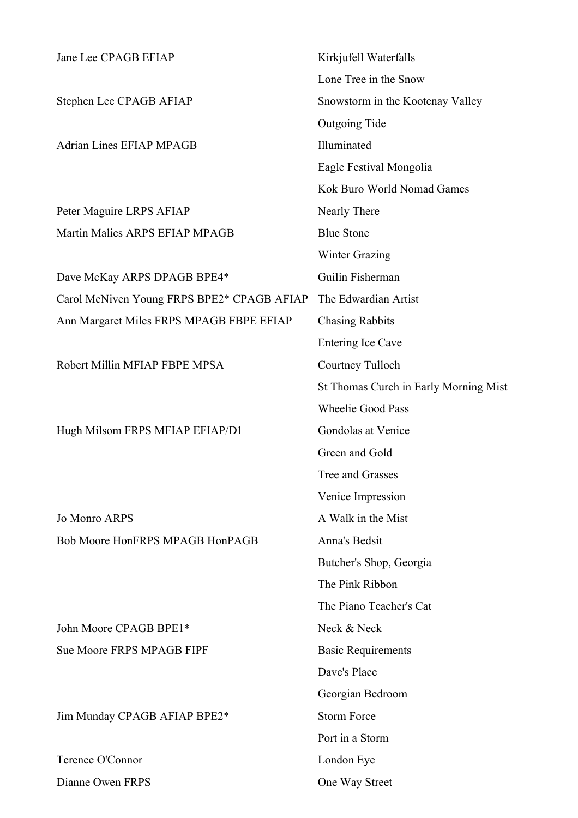| Jane Lee CPAGB EFIAP                       | Kirkjufell Waterfalls                 |
|--------------------------------------------|---------------------------------------|
|                                            | Lone Tree in the Snow                 |
| Stephen Lee CPAGB AFIAP                    | Snowstorm in the Kootenay Valley      |
|                                            | Outgoing Tide                         |
| <b>Adrian Lines EFIAP MPAGB</b>            | Illuminated                           |
|                                            | Eagle Festival Mongolia               |
|                                            | Kok Buro World Nomad Games            |
| Peter Maguire LRPS AFIAP                   | Nearly There                          |
| Martin Malies ARPS EFIAP MPAGB             | <b>Blue Stone</b>                     |
|                                            | <b>Winter Grazing</b>                 |
| Dave McKay ARPS DPAGB BPE4*                | Guilin Fisherman                      |
| Carol McNiven Young FRPS BPE2* CPAGB AFIAP | The Edwardian Artist                  |
| Ann Margaret Miles FRPS MPAGB FBPE EFIAP   | <b>Chasing Rabbits</b>                |
|                                            | Entering Ice Cave                     |
| Robert Millin MFIAP FBPE MPSA              | Courtney Tulloch                      |
|                                            | St Thomas Curch in Early Morning Mist |
|                                            | <b>Wheelie Good Pass</b>              |
| Hugh Milsom FRPS MFIAP EFIAP/D1            | Gondolas at Venice                    |
|                                            | Green and Gold                        |
|                                            | Tree and Grasses                      |
|                                            | Venice Impression                     |
| <b>Jo Monro ARPS</b>                       | A Walk in the Mist                    |
| Bob Moore HonFRPS MPAGB HonPAGB            | Anna's Bedsit                         |
|                                            | Butcher's Shop, Georgia               |
|                                            | The Pink Ribbon                       |
|                                            | The Piano Teacher's Cat               |
| John Moore CPAGB BPE1*                     | Neck & Neck                           |
| Sue Moore FRPS MPAGB FIPF                  | <b>Basic Requirements</b>             |
|                                            | Dave's Place                          |
|                                            | Georgian Bedroom                      |
| Jim Munday CPAGB AFIAP BPE2*               | <b>Storm Force</b>                    |
|                                            | Port in a Storm                       |
| Terence O'Connor                           | London Eye                            |
| Dianne Owen FRPS                           | One Way Street                        |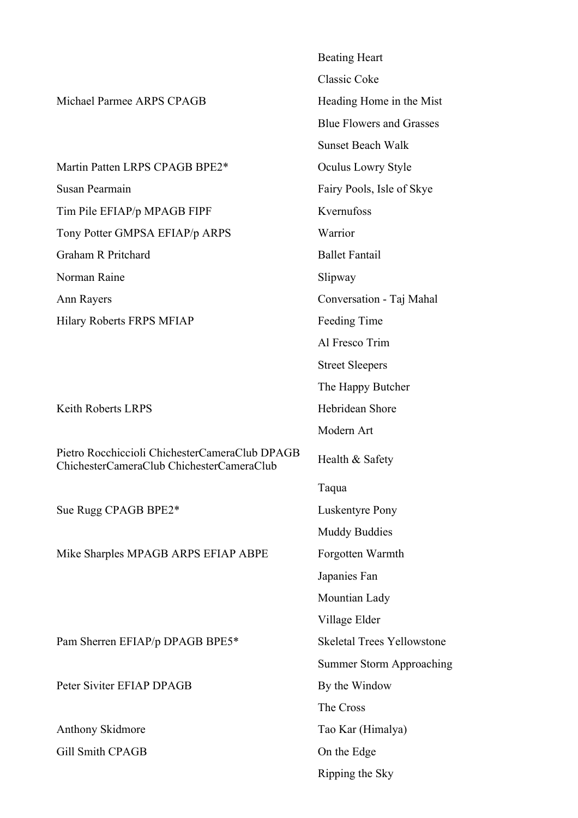|                                                                                             | <b>Beating Heart</b>              |
|---------------------------------------------------------------------------------------------|-----------------------------------|
|                                                                                             | <b>Classic Coke</b>               |
| Michael Parmee ARPS CPAGB                                                                   | Heading Home in the Mist          |
|                                                                                             | <b>Blue Flowers and Grasses</b>   |
|                                                                                             | <b>Sunset Beach Walk</b>          |
| Martin Patten LRPS CPAGB BPE2*                                                              | Oculus Lowry Style                |
| Susan Pearmain                                                                              | Fairy Pools, Isle of Skye         |
| Tim Pile EFIAP/p MPAGB FIPF                                                                 | Kvernufoss                        |
| Tony Potter GMPSA EFIAP/p ARPS                                                              | Warrior                           |
| Graham R Pritchard                                                                          | <b>Ballet Fantail</b>             |
| Norman Raine                                                                                | Slipway                           |
| Ann Rayers                                                                                  | Conversation - Taj Mahal          |
| Hilary Roberts FRPS MFIAP                                                                   | Feeding Time                      |
|                                                                                             | Al Fresco Trim                    |
|                                                                                             | <b>Street Sleepers</b>            |
|                                                                                             | The Happy Butcher                 |
| <b>Keith Roberts LRPS</b>                                                                   | Hebridean Shore                   |
|                                                                                             | Modern Art                        |
| Pietro Rocchiccioli ChichesterCameraClub DPAGB<br>ChichesterCameraClub ChichesterCameraClub | Health & Safety                   |
|                                                                                             | Taqua                             |
| Sue Rugg CPAGB BPE2*                                                                        | <b>Luskentyre Pony</b>            |
|                                                                                             | <b>Muddy Buddies</b>              |
| Mike Sharples MPAGB ARPS EFIAP ABPE                                                         | Forgotten Warmth                  |
|                                                                                             | Japanies Fan                      |
|                                                                                             | Mountian Lady                     |
|                                                                                             | Village Elder                     |
| Pam Sherren EFIAP/p DPAGB BPE5*                                                             | <b>Skeletal Trees Yellowstone</b> |
|                                                                                             | <b>Summer Storm Approaching</b>   |
| Peter Siviter EFIAP DPAGB                                                                   | By the Window                     |
|                                                                                             | The Cross                         |
| Anthony Skidmore                                                                            | Tao Kar (Himalya)                 |
| <b>Gill Smith CPAGB</b>                                                                     | On the Edge                       |
|                                                                                             | Ripping the Sky                   |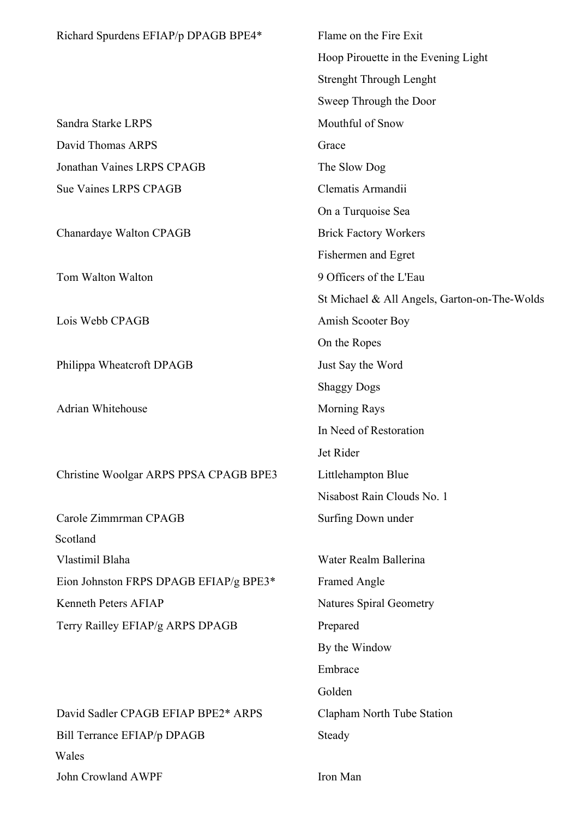| Richard Spurdens EFIAP/p DPAGB BPE4*   | Flame on the Fire Exit                       |
|----------------------------------------|----------------------------------------------|
|                                        | Hoop Pirouette in the Evening Light          |
|                                        | <b>Strenght Through Lenght</b>               |
|                                        | Sweep Through the Door                       |
| Sandra Starke LRPS                     | Mouthful of Snow                             |
| David Thomas ARPS                      | Grace                                        |
| Jonathan Vaines LRPS CPAGB             | The Slow Dog                                 |
| <b>Sue Vaines LRPS CPAGB</b>           | Clematis Armandii                            |
|                                        | On a Turquoise Sea                           |
| Chanardaye Walton CPAGB                | <b>Brick Factory Workers</b>                 |
|                                        | Fishermen and Egret                          |
| Tom Walton Walton                      | 9 Officers of the L'Eau                      |
|                                        | St Michael & All Angels, Garton-on-The-Wolds |
| Lois Webb CPAGB                        | Amish Scooter Boy                            |
|                                        | On the Ropes                                 |
| Philippa Wheatcroft DPAGB              | Just Say the Word                            |
|                                        | <b>Shaggy Dogs</b>                           |
| Adrian Whitehouse                      | <b>Morning Rays</b>                          |
|                                        | In Need of Restoration                       |
|                                        | Jet Rider                                    |
| Christine Woolgar ARPS PPSA CPAGB BPE3 | Littlehampton Blue                           |
|                                        | Nisabost Rain Clouds No. 1                   |
| Carole Zimmrman CPAGB                  | Surfing Down under                           |
| Scotland                               |                                              |
| Vlastimil Blaha                        | Water Realm Ballerina                        |
| Eion Johnston FRPS DPAGB EFIAP/g BPE3* | <b>Framed Angle</b>                          |
| Kenneth Peters AFIAP                   | <b>Natures Spiral Geometry</b>               |
| Terry Railley EFIAP/g ARPS DPAGB       | Prepared                                     |
|                                        | By the Window                                |
|                                        | Embrace                                      |
|                                        | Golden                                       |
| David Sadler CPAGB EFIAP BPE2* ARPS    | Clapham North Tube Station                   |
| Bill Terrance EFIAP/p DPAGB            | Steady                                       |
| Wales                                  |                                              |
| John Crowland AWPF                     | Iron Man                                     |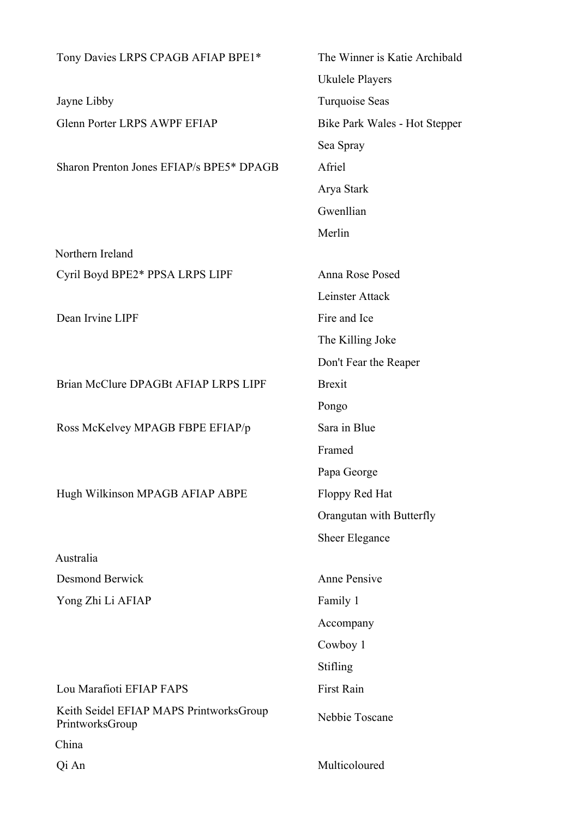| Tony Davies LRPS CPAGB AFIAP BPE1*                         | The Winner is Katie Archibald |
|------------------------------------------------------------|-------------------------------|
|                                                            | Ukulele Players               |
| Jayne Libby                                                | Turquoise Seas                |
| <b>Glenn Porter LRPS AWPF EFIAP</b>                        | Bike Park Wales - Hot Stepper |
|                                                            | Sea Spray                     |
| Sharon Prenton Jones EFIAP/s BPE5* DPAGB                   | Afriel                        |
|                                                            | Arya Stark                    |
|                                                            | Gwenllian                     |
|                                                            | Merlin                        |
| Northern Ireland                                           |                               |
| Cyril Boyd BPE2* PPSA LRPS LIPF                            | Anna Rose Posed               |
|                                                            | Leinster Attack               |
| Dean Irvine LIPF                                           | Fire and Ice                  |
|                                                            | The Killing Joke              |
|                                                            | Don't Fear the Reaper         |
| Brian McClure DPAGBt AFIAP LRPS LIPF                       | <b>Brexit</b>                 |
|                                                            | Pongo                         |
| Ross McKelvey MPAGB FBPE EFIAP/p                           | Sara in Blue                  |
|                                                            | Framed                        |
|                                                            | Papa George                   |
| Hugh Wilkinson MPAGB AFIAP ABPE                            | Floppy Red Hat                |
|                                                            | Orangutan with Butterfly      |
|                                                            | Sheer Elegance                |
| Australia                                                  |                               |
| <b>Desmond Berwick</b>                                     | <b>Anne Pensive</b>           |
| Yong Zhi Li AFIAP                                          | Family 1                      |
|                                                            | Accompany                     |
|                                                            | Cowboy 1                      |
|                                                            | Stifling                      |
| Lou Marafioti EFIAP FAPS                                   | First Rain                    |
| Keith Seidel EFIAP MAPS PrintworksGroup<br>PrintworksGroup | Nebbie Toscane                |
| China                                                      |                               |
| Qi An                                                      | Multicoloured                 |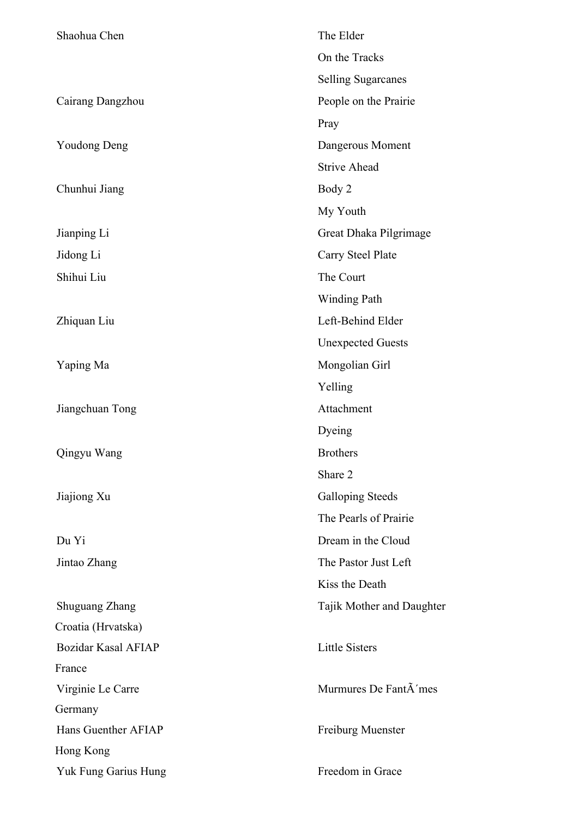| Shaohua Chen               | The Elder                         |
|----------------------------|-----------------------------------|
|                            | On the Tracks                     |
|                            | <b>Selling Sugarcanes</b>         |
| Cairang Dangzhou           | People on the Prairie             |
|                            | Pray                              |
| <b>Youdong Deng</b>        | Dangerous Moment                  |
|                            | <b>Strive Ahead</b>               |
| Chunhui Jiang              | Body 2                            |
|                            | My Youth                          |
| Jianping Li                | Great Dhaka Pilgrimage            |
| Jidong Li                  | Carry Steel Plate                 |
| Shihui Liu                 | The Court                         |
|                            | <b>Winding Path</b>               |
| Zhiquan Liu                | Left-Behind Elder                 |
|                            | <b>Unexpected Guests</b>          |
| Yaping Ma                  | Mongolian Girl                    |
|                            | Yelling                           |
| Jiangchuan Tong            | Attachment                        |
|                            | Dyeing                            |
| Qingyu Wang                | <b>Brothers</b>                   |
|                            | Share 2                           |
| Jiajiong Xu                | <b>Galloping Steeds</b>           |
|                            | The Pearls of Prairie             |
| Du Yi                      | Dream in the Cloud                |
| Jintao Zhang               | The Pastor Just Left              |
|                            | Kiss the Death                    |
| <b>Shuguang Zhang</b>      | Tajik Mother and Daughter         |
| Croatia (Hrvatska)         |                                   |
| <b>Bozidar Kasal AFIAP</b> | <b>Little Sisters</b>             |
| France                     |                                   |
| Virginie Le Carre          | Murmures De Fant $\tilde{A}$ 'mes |
| Germany                    |                                   |
| Hans Guenther AFIAP        | Freiburg Muenster                 |
| Hong Kong                  |                                   |
| Yuk Fung Garius Hung       | Freedom in Grace                  |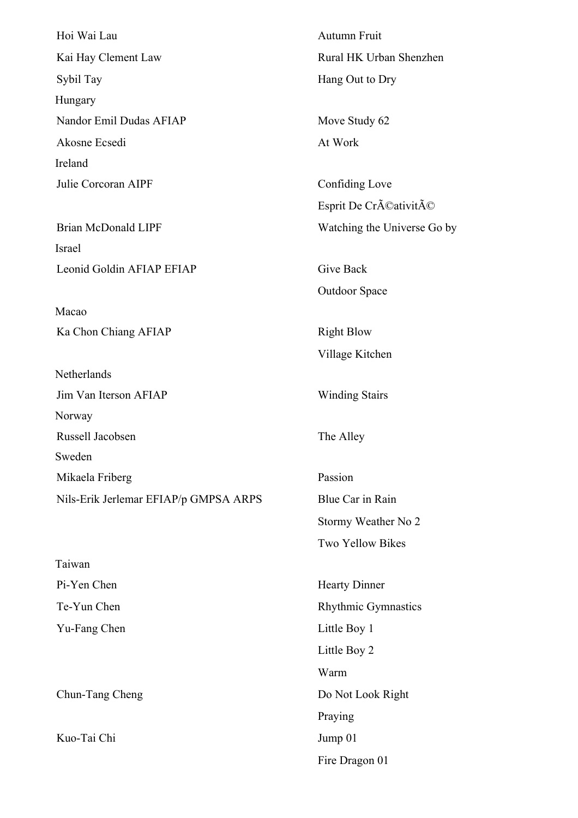Hoi Wai Lau **Autumn Fruit** Kai Hay Clement Law Rural HK Urban Shenzhen Sybil Tay Hang Out to Dry Hungary Nandor Emil Dudas AFIAP Move Study 62 Akosne Ecsedi At Work Ireland Julie Corcoran AIPF Confiding Love

Israel Leonid Goldin AFIAP EFIAP Give Back

Macao Ka Chon Chiang AFIAP Right Blow

**Netherlands** 

Norway Russell Jacobsen The Alley Sweden Mikaela Friberg Passion

Nils-Erik Jerlemar EFIAP/p GMPSA ARPS Blue Car in Rain

Taiwan Yu-Fang Chen Little Boy 1

Kuo-Tai Chi Jump 01

Esprit De Créativité Brian McDonald LIPF Watching the Universe Go by

Outdoor Space

Village Kitchen

Jim Van Iterson AFIAP Winding Stairs

Stormy Weather No 2 Two Yellow Bikes

Pi-Yen Chen Hearty Dinner Te-Yun Chen Rhythmic Gymnastics Little Boy 2 Warm Chun-Tang Cheng Do Not Look Right Praying Fire Dragon 01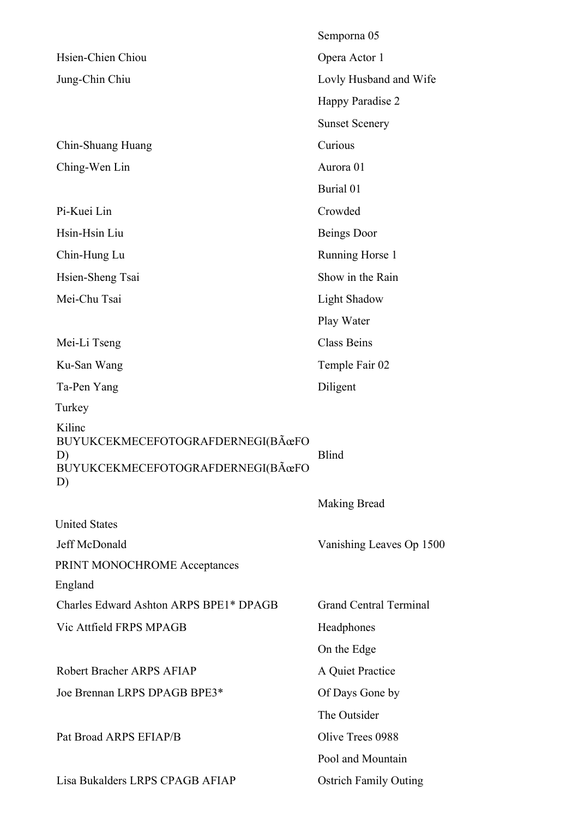|                                                  | Semporna 05                   |
|--------------------------------------------------|-------------------------------|
| Hsien-Chien Chiou                                | Opera Actor 1                 |
| Jung-Chin Chiu                                   | Lovly Husband and Wife        |
|                                                  | Happy Paradise 2              |
|                                                  | <b>Sunset Scenery</b>         |
| Chin-Shuang Huang                                | Curious                       |
| Ching-Wen Lin                                    | Aurora 01                     |
|                                                  | Burial 01                     |
| Pi-Kuei Lin                                      | Crowded                       |
| Hsin-Hsin Liu                                    | Beings Door                   |
| Chin-Hung Lu                                     | Running Horse 1               |
| Hsien-Sheng Tsai                                 | Show in the Rain              |
| Mei-Chu Tsai                                     | <b>Light Shadow</b>           |
|                                                  | Play Water                    |
| Mei-Li Tseng                                     | <b>Class Beins</b>            |
| Ku-San Wang                                      | Temple Fair 02                |
| Ta-Pen Yang                                      | Diligent                      |
| Turkey                                           |                               |
| Kilinc<br>BUYUKCEKMECEFOTOGRAFDERNEGI(BÜFO<br>D) | <b>Blind</b>                  |
| BUYUKCEKMECEFOTOGRAFDERNEGI(BÜFO<br>D)           |                               |
|                                                  | Making Bread                  |
| <b>United States</b>                             |                               |
| Jeff McDonald                                    | Vanishing Leaves Op 1500      |
| PRINT MONOCHROME Acceptances                     |                               |
| England                                          |                               |
| Charles Edward Ashton ARPS BPE1* DPAGB           | <b>Grand Central Terminal</b> |
| Vic Attfield FRPS MPAGB                          | Headphones                    |
|                                                  | On the Edge                   |
| Robert Bracher ARPS AFIAP                        | A Quiet Practice              |
| Joe Brennan LRPS DPAGB BPE3*                     | Of Days Gone by               |
|                                                  | The Outsider                  |
| Pat Broad ARPS EFIAP/B                           | Olive Trees 0988              |
|                                                  | Pool and Mountain             |
| Lisa Bukalders LRPS CPAGB AFIAP                  | <b>Ostrich Family Outing</b>  |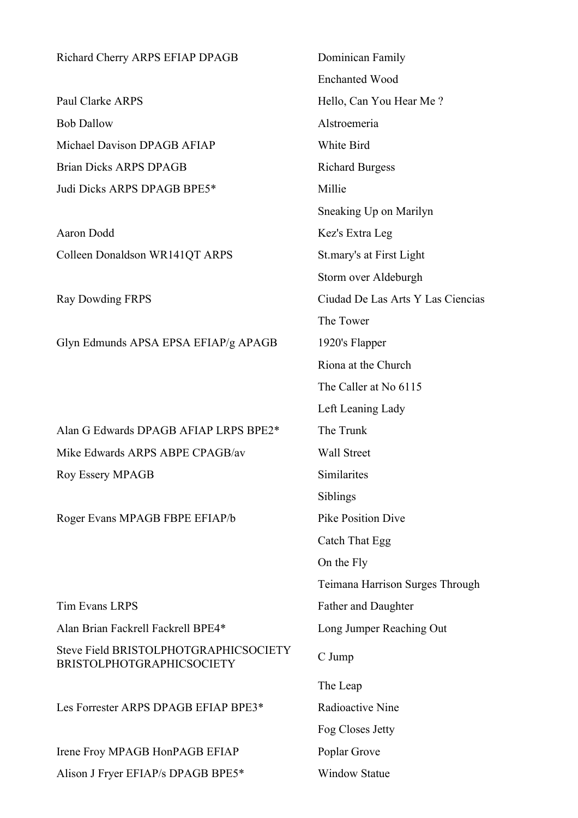| Richard Cherry ARPS EFIAP DPAGB                                           | Dominican Family                  |
|---------------------------------------------------------------------------|-----------------------------------|
|                                                                           | <b>Enchanted Wood</b>             |
| Paul Clarke ARPS                                                          | Hello, Can You Hear Me?           |
| <b>Bob Dallow</b>                                                         | Alstroemeria                      |
| Michael Davison DPAGB AFIAP                                               | White Bird                        |
| <b>Brian Dicks ARPS DPAGB</b>                                             | <b>Richard Burgess</b>            |
| Judi Dicks ARPS DPAGB BPE5*                                               | Millie                            |
|                                                                           | Sneaking Up on Marilyn            |
| Aaron Dodd                                                                | Kez's Extra Leg                   |
| Colleen Donaldson WR141QT ARPS                                            | St.mary's at First Light          |
|                                                                           | Storm over Aldeburgh              |
| <b>Ray Dowding FRPS</b>                                                   | Ciudad De Las Arts Y Las Ciencias |
|                                                                           | The Tower                         |
| Glyn Edmunds APSA EPSA EFIAP/g APAGB                                      | 1920's Flapper                    |
|                                                                           | Riona at the Church               |
|                                                                           | The Caller at No 6115             |
|                                                                           | Left Leaning Lady                 |
| Alan G Edwards DPAGB AFIAP LRPS BPE2*                                     | The Trunk                         |
| Mike Edwards ARPS ABPE CPAGB/av                                           | <b>Wall Street</b>                |
| <b>Roy Essery MPAGB</b>                                                   | Similarites                       |
|                                                                           | Siblings                          |
| Roger Evans MPAGB FBPE EFIAP/b                                            | <b>Pike Position Dive</b>         |
|                                                                           | Catch That Egg                    |
|                                                                           | On the Fly                        |
|                                                                           | Teimana Harrison Surges Through   |
| <b>Tim Evans LRPS</b>                                                     | Father and Daughter               |
| Alan Brian Fackrell Fackrell BPE4*                                        | Long Jumper Reaching Out          |
| Steve Field BRISTOLPHOTGRAPHICSOCIETY<br><b>BRISTOLPHOTGRAPHICSOCIETY</b> | C Jump                            |
|                                                                           | The Leap                          |
| Les Forrester ARPS DPAGB EFIAP BPE3*                                      | Radioactive Nine                  |
|                                                                           | Fog Closes Jetty                  |
| Irene Froy MPAGB HonPAGB EFIAP                                            | Poplar Grove                      |
| Alison J Fryer EFIAP/s DPAGB BPE5*                                        | <b>Window Statue</b>              |
|                                                                           |                                   |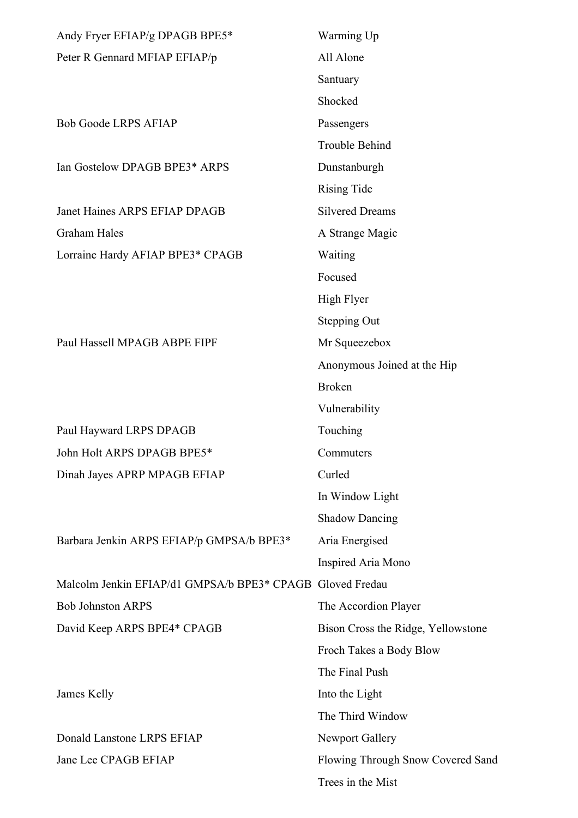| Andy Fryer EFIAP/g DPAGB BPE5*              | Warming Up                         |
|---------------------------------------------|------------------------------------|
| Peter R Gennard MFIAP EFIAP/p               | All Alone                          |
|                                             | Santuary                           |
|                                             | Shocked                            |
| <b>Bob Goode LRPS AFIAP</b>                 | Passengers                         |
|                                             | <b>Trouble Behind</b>              |
| Ian Gostelow DPAGB BPE3* ARPS               | Dunstanburgh                       |
|                                             | <b>Rising Tide</b>                 |
| Janet Haines ARPS EFIAP DPAGB               | <b>Silvered Dreams</b>             |
| <b>Graham Hales</b>                         | A Strange Magic                    |
| Lorraine Hardy AFIAP BPE3* CPAGB            | Waiting                            |
|                                             | Focused                            |
|                                             | High Flyer                         |
|                                             | <b>Stepping Out</b>                |
| Paul Hassell MPAGB ABPE FIPF                | Mr Squeezebox                      |
|                                             | Anonymous Joined at the Hip        |
|                                             | <b>Broken</b>                      |
|                                             | Vulnerability                      |
| Paul Hayward LRPS DPAGB                     | Touching                           |
| John Holt ARPS DPAGB BPE5*                  | Commuters                          |
| Dinah Jayes APRP MPAGB EFIAP                | Curled                             |
|                                             | In Window Light                    |
|                                             | <b>Shadow Dancing</b>              |
| Barbara Jenkin ARPS EFIAP/p GMPSA/b BPE3*   | Aria Energised                     |
|                                             | Inspired Aria Mono                 |
| Malcolm Jenkin EFIAP/d1 GMPSA/b BPE3* CPAGB | Gloved Fredau                      |
| <b>Bob Johnston ARPS</b>                    | The Accordion Player               |
| David Keep ARPS BPE4* CPAGB                 | Bison Cross the Ridge, Yellowstone |
|                                             | Froch Takes a Body Blow            |
|                                             | The Final Push                     |
| James Kelly                                 | Into the Light                     |
|                                             | The Third Window                   |
| Donald Lanstone LRPS EFIAP                  | <b>Newport Gallery</b>             |
| Jane Lee CPAGB EFIAP                        | Flowing Through Snow Covered Sand  |
|                                             | Trees in the Mist                  |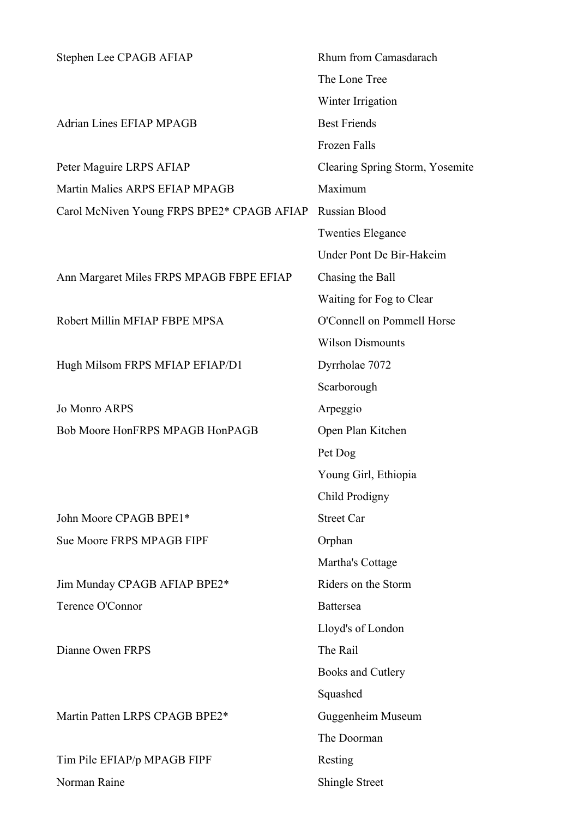| Stephen Lee CPAGB AFIAP                    | Rhum from Camasdarach           |
|--------------------------------------------|---------------------------------|
|                                            | The Lone Tree                   |
|                                            | Winter Irrigation               |
| <b>Adrian Lines EFIAP MPAGB</b>            | <b>Best Friends</b>             |
|                                            | Frozen Falls                    |
| Peter Maguire LRPS AFIAP                   | Clearing Spring Storm, Yosemite |
| Martin Malies ARPS EFIAP MPAGB             | Maximum                         |
| Carol McNiven Young FRPS BPE2* CPAGB AFIAP | Russian Blood                   |
|                                            | <b>Twenties Elegance</b>        |
|                                            | Under Pont De Bir-Hakeim        |
| Ann Margaret Miles FRPS MPAGB FBPE EFIAP   | Chasing the Ball                |
|                                            | Waiting for Fog to Clear        |
| Robert Millin MFIAP FBPE MPSA              | O'Connell on Pommell Horse      |
|                                            | <b>Wilson Dismounts</b>         |
| Hugh Milsom FRPS MFIAP EFIAP/D1            | Dyrrholae 7072                  |
|                                            | Scarborough                     |
| <b>Jo Monro ARPS</b>                       | Arpeggio                        |
| Bob Moore HonFRPS MPAGB HonPAGB            | Open Plan Kitchen               |
|                                            | Pet Dog                         |
|                                            | Young Girl, Ethiopia            |
|                                            | Child Prodigny                  |
| John Moore CPAGB BPE1*                     | <b>Street Car</b>               |
| Sue Moore FRPS MPAGB FIPF                  | Orphan                          |
|                                            | Martha's Cottage                |
| Jim Munday CPAGB AFIAP BPE2*               | Riders on the Storm             |
| Terence O'Connor                           | <b>Battersea</b>                |
|                                            | Lloyd's of London               |
| Dianne Owen FRPS                           | The Rail                        |
|                                            | Books and Cutlery               |
|                                            | Squashed                        |
| Martin Patten LRPS CPAGB BPE2*             | Guggenheim Museum               |
|                                            | The Doorman                     |
| Tim Pile EFIAP/p MPAGB FIPF                | Resting                         |
| Norman Raine                               | <b>Shingle Street</b>           |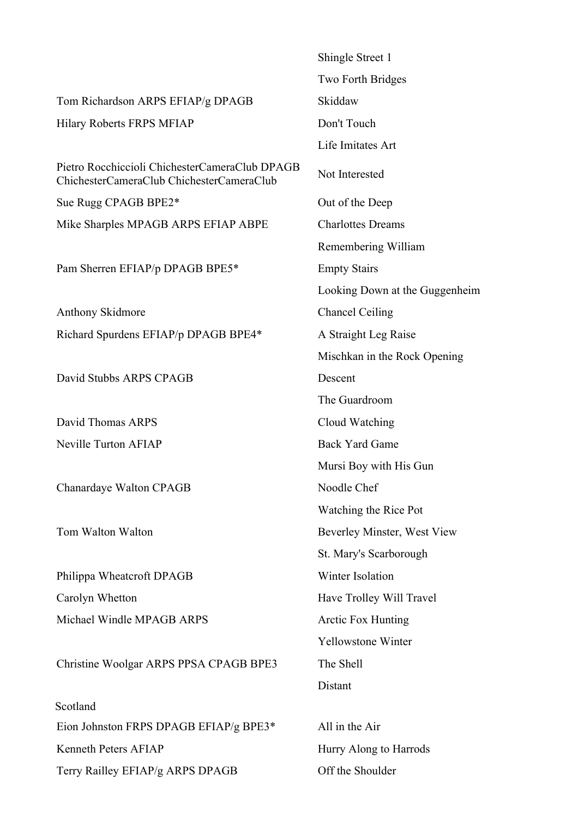|                                                                                             | Shingle Street 1               |
|---------------------------------------------------------------------------------------------|--------------------------------|
|                                                                                             | Two Forth Bridges              |
| Tom Richardson ARPS EFIAP/g DPAGB                                                           | Skiddaw                        |
| Hilary Roberts FRPS MFIAP                                                                   | Don't Touch                    |
|                                                                                             | Life Imitates Art              |
| Pietro Rocchiccioli ChichesterCameraClub DPAGB<br>ChichesterCameraClub ChichesterCameraClub | Not Interested                 |
| Sue Rugg CPAGB BPE2*                                                                        | Out of the Deep                |
| Mike Sharples MPAGB ARPS EFIAP ABPE                                                         | <b>Charlottes Dreams</b>       |
|                                                                                             | Remembering William            |
| Pam Sherren EFIAP/p DPAGB BPE5*                                                             | <b>Empty Stairs</b>            |
|                                                                                             | Looking Down at the Guggenheim |
| Anthony Skidmore                                                                            | <b>Chancel Ceiling</b>         |
| Richard Spurdens EFIAP/p DPAGB BPE4*                                                        | A Straight Leg Raise           |
|                                                                                             | Mischkan in the Rock Opening   |
| David Stubbs ARPS CPAGB                                                                     | Descent                        |
|                                                                                             | The Guardroom                  |
| David Thomas ARPS                                                                           | Cloud Watching                 |
| <b>Neville Turton AFIAP</b>                                                                 | <b>Back Yard Game</b>          |
|                                                                                             | Mursi Boy with His Gun         |
| Chanardaye Walton CPAGB                                                                     | Noodle Chef                    |
|                                                                                             | Watching the Rice Pot          |
| Tom Walton Walton                                                                           | Beverley Minster, West View    |
|                                                                                             | St. Mary's Scarborough         |
| Philippa Wheatcroft DPAGB                                                                   | Winter Isolation               |
| Carolyn Whetton                                                                             | Have Trolley Will Travel       |
| Michael Windle MPAGB ARPS                                                                   | <b>Arctic Fox Hunting</b>      |
|                                                                                             | <b>Yellowstone Winter</b>      |
| Christine Woolgar ARPS PPSA CPAGB BPE3                                                      | The Shell                      |
|                                                                                             | Distant                        |
| Scotland                                                                                    |                                |
| Eion Johnston FRPS DPAGB EFIAP/g BPE3*                                                      | All in the Air                 |
| Kenneth Peters AFIAP                                                                        | Hurry Along to Harrods         |
| Terry Railley EFIAP/g ARPS DPAGB                                                            | Off the Shoulder               |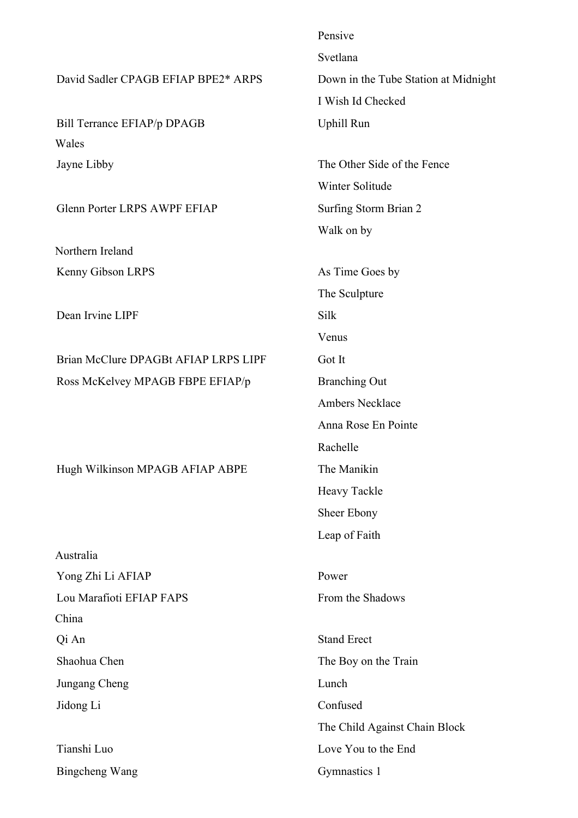Pensive Svetlana David Sadler CPAGB EFIAP BPE2\* ARPS Down in the Tube Station at Midnight I Wish Id Checked Bill Terrance EFIAP/p DPAGB Uphill Run Wales Jayne Libby The Other Side of the Fence Winter Solitude Glenn Porter LRPS AWPF EFIAP Surfing Storm Brian 2 Walk on by Northern Ireland Kenny Gibson LRPS As Time Goes by The Sculpture Dean Irvine LIPF Silk Venus Brian McClure DPAGBt AFIAP LRPS LIPF Got It Ross McKelvey MPAGB FBPE EFIAP/p Branching Out Ambers Necklace Anna Rose En Pointe Rachelle Hugh Wilkinson MPAGB AFIAP ABPE The Manikin Heavy Tackle Sheer Ebony Leap of Faith Australia Yong Zhi Li AFIAP Power Lou Marafioti EFIAP FAPS From the Shadows China Qi An Stand Erect Shaohua Chen The Boy on the Train Jungang Cheng Lunch Jidong Li Confused The Child Against Chain Block Tianshi Luo Love You to the End Bingcheng Wang Gymnastics 1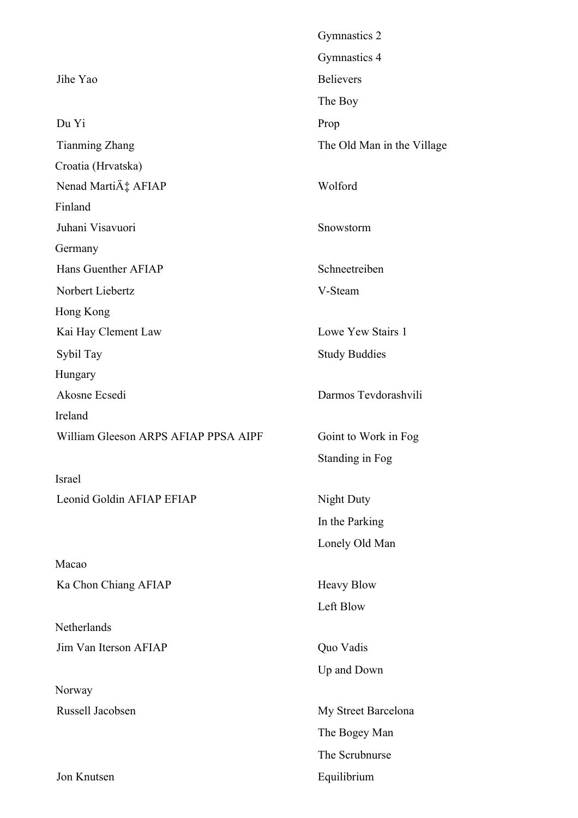|                                      | Gymnastics 2               |
|--------------------------------------|----------------------------|
|                                      | Gymnastics 4               |
| Jihe Yao                             | <b>Believers</b>           |
|                                      | The Boy                    |
| Du Yi                                | Prop                       |
| <b>Tianming Zhang</b>                | The Old Man in the Village |
| Croatia (Hrvatska)                   |                            |
| Nenad Martić AFIAP                   | Wolford                    |
| Finland                              |                            |
| Juhani Visavuori                     | Snowstorm                  |
| Germany                              |                            |
| Hans Guenther AFIAP                  | Schneetreiben              |
| Norbert Liebertz                     | V-Steam                    |
| Hong Kong                            |                            |
| Kai Hay Clement Law                  | Lowe Yew Stairs 1          |
| Sybil Tay                            | <b>Study Buddies</b>       |
| Hungary                              |                            |
| Akosne Ecsedi                        | Darmos Tevdorashvili       |
| Ireland                              |                            |
| William Gleeson ARPS AFIAP PPSA AIPF | Goint to Work in Fog       |
|                                      | Standing in Fog            |
| Israel                               |                            |
| Leonid Goldin AFIAP EFIAP            | Night Duty                 |
|                                      | In the Parking             |
|                                      | Lonely Old Man             |
| Macao                                |                            |
| Ka Chon Chiang AFIAP                 | <b>Heavy Blow</b>          |
|                                      | Left Blow                  |
| Netherlands                          |                            |
| Jim Van Iterson AFIAP                | Quo Vadis                  |
|                                      | Up and Down                |
| Norway                               |                            |
| Russell Jacobsen                     | My Street Barcelona        |
|                                      | The Bogey Man              |
|                                      | The Scrubnurse             |
| Jon Knutsen                          | Equilibrium                |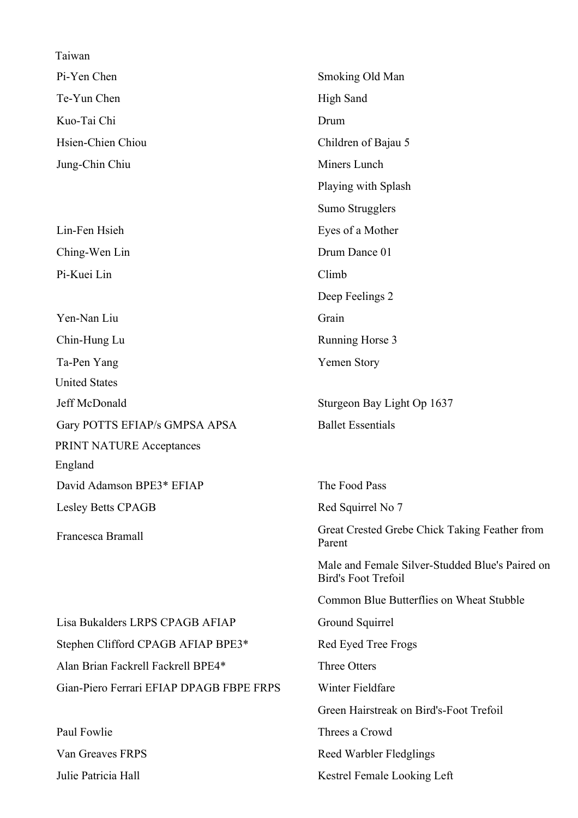| Taiwan                                   |                                                                               |
|------------------------------------------|-------------------------------------------------------------------------------|
| Pi-Yen Chen                              | Smoking Old Man                                                               |
| Te-Yun Chen                              | <b>High Sand</b>                                                              |
| Kuo-Tai Chi                              | Drum                                                                          |
| Hsien-Chien Chiou                        | Children of Bajau 5                                                           |
| Jung-Chin Chiu                           | Miners Lunch                                                                  |
|                                          | Playing with Splash                                                           |
|                                          | Sumo Strugglers                                                               |
| Lin-Fen Hsieh                            | Eyes of a Mother                                                              |
| Ching-Wen Lin                            | Drum Dance 01                                                                 |
| Pi-Kuei Lin                              | Climb                                                                         |
|                                          | Deep Feelings 2                                                               |
| Yen-Nan Liu                              | Grain                                                                         |
| Chin-Hung Lu                             | Running Horse 3                                                               |
| Ta-Pen Yang                              | Yemen Story                                                                   |
| <b>United States</b>                     |                                                                               |
| Jeff McDonald                            | Sturgeon Bay Light Op 1637                                                    |
| Gary POTTS EFIAP/s GMPSA APSA            | <b>Ballet Essentials</b>                                                      |
| PRINT NATURE Acceptances                 |                                                                               |
| England                                  |                                                                               |
| David Adamson BPE3* EFIAP                | The Food Pass                                                                 |
| Lesley Betts CPAGB                       | Red Squirrel No 7                                                             |
| Francesca Bramall                        | Great Crested Grebe Chick Taking Feather from<br>Parent                       |
|                                          | Male and Female Silver-Studded Blue's Paired on<br><b>Bird's Foot Trefoil</b> |
|                                          | Common Blue Butterflies on Wheat Stubble                                      |
| Lisa Bukalders LRPS CPAGB AFIAP          | Ground Squirrel                                                               |
| Stephen Clifford CPAGB AFIAP BPE3*       | Red Eyed Tree Frogs                                                           |
| Alan Brian Fackrell Fackrell BPE4*       | <b>Three Otters</b>                                                           |
| Gian-Piero Ferrari EFIAP DPAGB FBPE FRPS | Winter Fieldfare                                                              |
|                                          | Green Hairstreak on Bird's-Foot Trefoil                                       |
| Paul Fowlie                              | Threes a Crowd                                                                |
| Van Greaves FRPS                         | Reed Warbler Fledglings                                                       |
| Julie Patricia Hall                      | Kestrel Female Looking Left                                                   |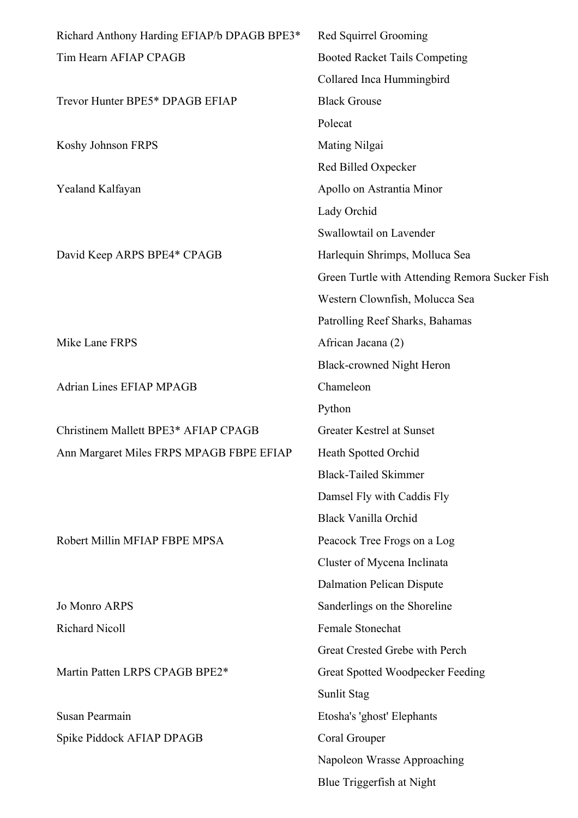| Richard Anthony Harding EFIAP/b DPAGB BPE3* | Red Squirrel Grooming                          |
|---------------------------------------------|------------------------------------------------|
| Tim Hearn AFIAP CPAGB                       | <b>Booted Racket Tails Competing</b>           |
|                                             | Collared Inca Hummingbird                      |
| Trevor Hunter BPE5* DPAGB EFIAP             | <b>Black Grouse</b>                            |
|                                             | Polecat                                        |
| Koshy Johnson FRPS                          | Mating Nilgai                                  |
|                                             | Red Billed Oxpecker                            |
| Yealand Kalfayan                            | Apollo on Astrantia Minor                      |
|                                             | Lady Orchid                                    |
|                                             | Swallowtail on Lavender                        |
| David Keep ARPS BPE4* CPAGB                 | Harlequin Shrimps, Molluca Sea                 |
|                                             | Green Turtle with Attending Remora Sucker Fish |
|                                             | Western Clownfish, Molucca Sea                 |
|                                             | Patrolling Reef Sharks, Bahamas                |
| Mike Lane FRPS                              | African Jacana (2)                             |
|                                             | <b>Black-crowned Night Heron</b>               |
| <b>Adrian Lines EFIAP MPAGB</b>             | Chameleon                                      |
|                                             | Python                                         |
| Christinem Mallett BPE3* AFIAP CPAGB        | Greater Kestrel at Sunset                      |
| Ann Margaret Miles FRPS MPAGB FBPE EFIAP    | Heath Spotted Orchid                           |
|                                             | <b>Black-Tailed Skimmer</b>                    |
|                                             | Damsel Fly with Caddis Fly                     |
|                                             | <b>Black Vanilla Orchid</b>                    |
| Robert Millin MFIAP FBPE MPSA               | Peacock Tree Frogs on a Log                    |
|                                             | Cluster of Mycena Inclinata                    |
|                                             | Dalmation Pelican Dispute                      |
| <b>Jo Monro ARPS</b>                        | Sanderlings on the Shoreline                   |
| Richard Nicoll                              | Female Stonechat                               |
|                                             | Great Crested Grebe with Perch                 |
| Martin Patten LRPS CPAGB BPE2*              | Great Spotted Woodpecker Feeding               |
|                                             | Sunlit Stag                                    |
| Susan Pearmain                              | Etosha's 'ghost' Elephants                     |
| Spike Piddock AFIAP DPAGB                   | Coral Grouper                                  |
|                                             | Napoleon Wrasse Approaching                    |
|                                             | Blue Triggerfish at Night                      |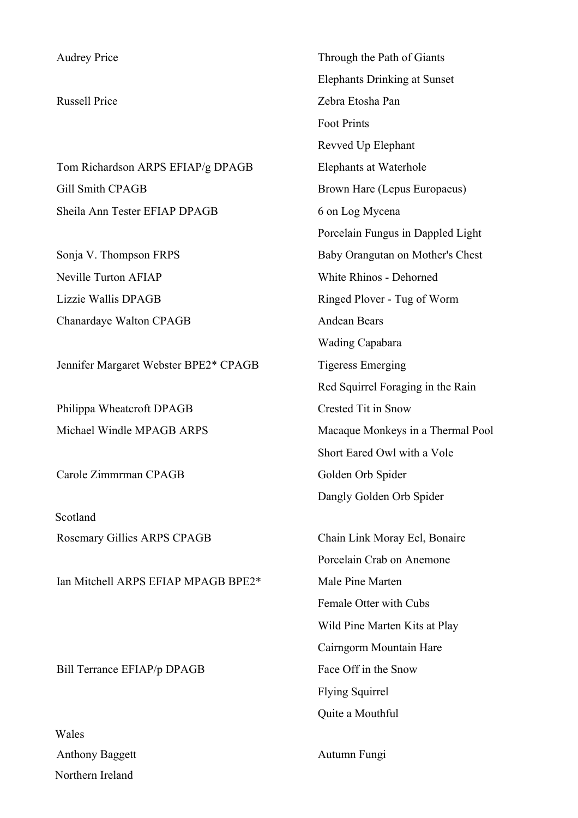| <b>Audrey Price</b>                   | Through the Path of Giants          |
|---------------------------------------|-------------------------------------|
|                                       | <b>Elephants Drinking at Sunset</b> |
| <b>Russell Price</b>                  | Zebra Etosha Pan                    |
|                                       | <b>Foot Prints</b>                  |
|                                       | Revved Up Elephant                  |
| Tom Richardson ARPS EFIAP/g DPAGB     | Elephants at Waterhole              |
| <b>Gill Smith CPAGB</b>               | Brown Hare (Lepus Europaeus)        |
| Sheila Ann Tester EFIAP DPAGB         | 6 on Log Mycena                     |
|                                       | Porcelain Fungus in Dappled Light   |
| Sonja V. Thompson FRPS                | Baby Orangutan on Mother's Chest    |
| <b>Neville Turton AFIAP</b>           | <b>White Rhinos - Dehorned</b>      |
| Lizzie Wallis DPAGB                   | Ringed Plover - Tug of Worm         |
| Chanardaye Walton CPAGB               | <b>Andean Bears</b>                 |
|                                       | <b>Wading Capabara</b>              |
| Jennifer Margaret Webster BPE2* CPAGB | <b>Tigeress Emerging</b>            |
|                                       | Red Squirrel Foraging in the Rain   |
| Philippa Wheatcroft DPAGB             | Crested Tit in Snow                 |
| Michael Windle MPAGB ARPS             | Macaque Monkeys in a Thermal Pool   |
|                                       | Short Eared Owl with a Vole         |
| Carole Zimmrman CPAGB                 | Golden Orb Spider                   |
|                                       | Dangly Golden Orb Spider            |
| Scotland                              |                                     |
| Rosemary Gillies ARPS CPAGB           | Chain Link Moray Eel, Bonaire       |
|                                       | Porcelain Crab on Anemone           |
| Ian Mitchell ARPS EFIAP MPAGB BPE2*   | Male Pine Marten                    |
|                                       | Female Otter with Cubs              |
|                                       | Wild Pine Marten Kits at Play       |
|                                       | Cairngorm Mountain Hare             |
| Bill Terrance EFIAP/p DPAGB           | Face Off in the Snow                |
|                                       | <b>Flying Squirrel</b>              |
|                                       | Quite a Mouthful                    |
| Wales                                 |                                     |
| <b>Anthony Baggett</b>                | Autumn Fungi                        |

Northern Ireland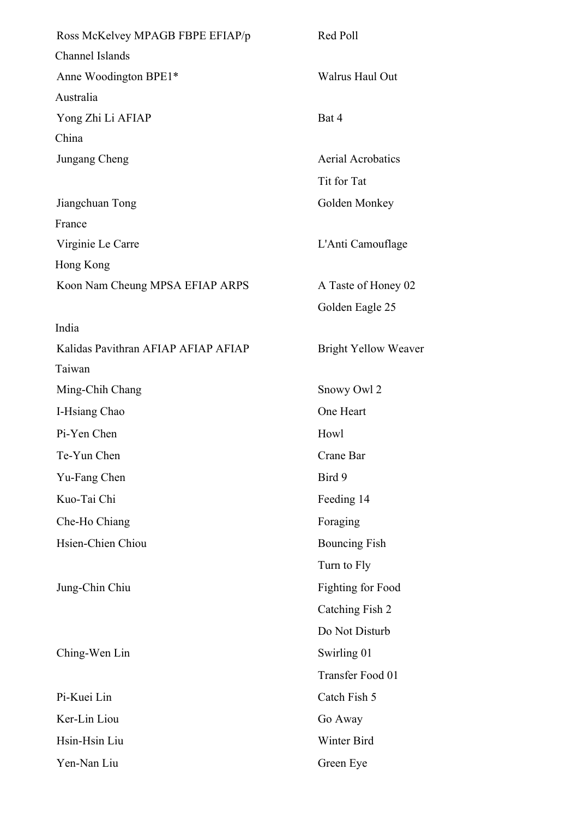| Ross McKelvey MPAGB FBPE EFIAP/p    | Red Poll                    |
|-------------------------------------|-----------------------------|
| Channel Islands                     |                             |
| Anne Woodington BPE1*               | Walrus Haul Out             |
| Australia                           |                             |
| Yong Zhi Li AFIAP                   | Bat 4                       |
| China                               |                             |
| Jungang Cheng                       | <b>Aerial Acrobatics</b>    |
|                                     | Tit for Tat                 |
| Jiangchuan Tong                     | Golden Monkey               |
| France                              |                             |
| Virginie Le Carre                   | L'Anti Camouflage           |
| Hong Kong                           |                             |
| Koon Nam Cheung MPSA EFIAP ARPS     | A Taste of Honey 02         |
|                                     | Golden Eagle 25             |
| India                               |                             |
| Kalidas Pavithran AFIAP AFIAP AFIAP | <b>Bright Yellow Weaver</b> |
| Taiwan                              |                             |
| Ming-Chih Chang                     | Snowy Owl 2                 |
| I-Hsiang Chao                       | One Heart                   |
| Pi-Yen Chen                         | Howl                        |
| Te-Yun Chen                         | Crane Bar                   |
| Yu-Fang Chen                        | Bird 9                      |
| Kuo-Tai Chi                         | Feeding 14                  |
| Che-Ho Chiang                       | Foraging                    |
| Hsien-Chien Chiou                   | <b>Bouncing Fish</b>        |
|                                     | Turn to Fly                 |
| Jung-Chin Chiu                      | <b>Fighting for Food</b>    |
|                                     | Catching Fish 2             |
|                                     | Do Not Disturb              |
| Ching-Wen Lin                       | Swirling 01                 |
|                                     | Transfer Food 01            |
| Pi-Kuei Lin                         | Catch Fish 5                |
| Ker-Lin Liou                        | Go Away                     |
| Hsin-Hsin Liu                       | Winter Bird                 |
| Yen-Nan Liu                         | Green Eye                   |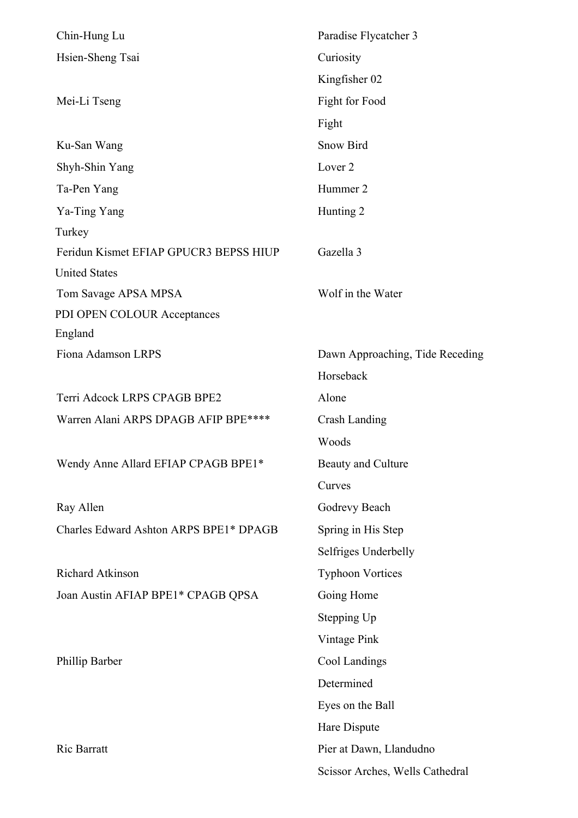| Chin-Hung Lu                           | Paradise Flycatcher 3           |
|----------------------------------------|---------------------------------|
| Hsien-Sheng Tsai                       | Curiosity                       |
|                                        | Kingfisher 02                   |
| Mei-Li Tseng                           | Fight for Food                  |
|                                        | Fight                           |
| Ku-San Wang                            | <b>Snow Bird</b>                |
| Shyh-Shin Yang                         | Lover <sub>2</sub>              |
| Ta-Pen Yang                            | Hummer 2                        |
| Ya-Ting Yang                           | Hunting 2                       |
| Turkey                                 |                                 |
| Feridun Kismet EFIAP GPUCR3 BEPSS HIUP | Gazella 3                       |
| <b>United States</b>                   |                                 |
| Tom Savage APSA MPSA                   | Wolf in the Water               |
| PDI OPEN COLOUR Acceptances            |                                 |
| England                                |                                 |
| Fiona Adamson LRPS                     | Dawn Approaching, Tide Receding |
|                                        | Horseback                       |
| Terri Adcock LRPS CPAGB BPE2           | Alone                           |
| Warren Alani ARPS DPAGB AFIP BPE****   | <b>Crash Landing</b>            |
|                                        | Woods                           |
| Wendy Anne Allard EFIAP CPAGB BPE1*    | Beauty and Culture              |
|                                        | Curves                          |
| Ray Allen                              | Godrevy Beach                   |
| Charles Edward Ashton ARPS BPE1* DPAGB | Spring in His Step              |
|                                        | Selfriges Underbelly            |
| Richard Atkinson                       | <b>Typhoon Vortices</b>         |
| Joan Austin AFIAP BPE1* CPAGB QPSA     | Going Home                      |
|                                        | Stepping Up                     |
|                                        | Vintage Pink                    |
| Phillip Barber                         | Cool Landings                   |
|                                        | Determined                      |
|                                        | Eyes on the Ball                |
|                                        | Hare Dispute                    |
| Ric Barratt                            | Pier at Dawn, Llandudno         |
|                                        | Scissor Arches, Wells Cathedral |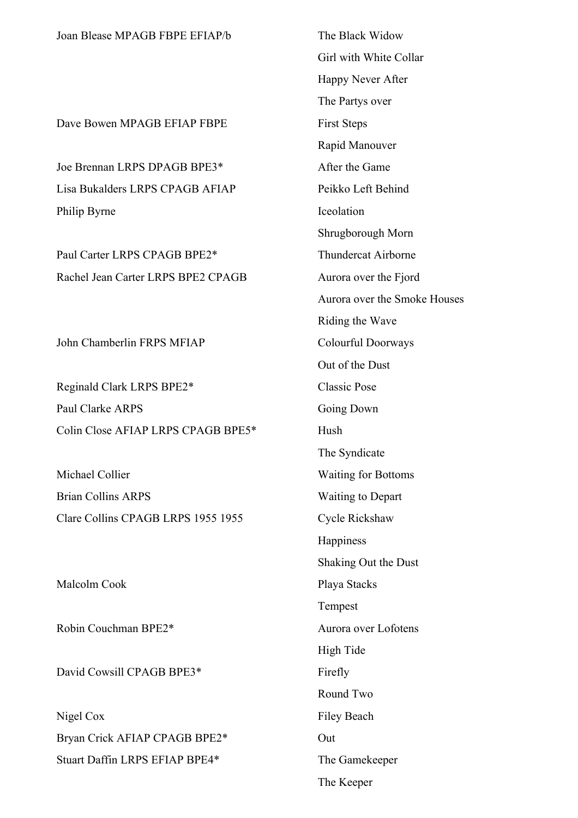| Joan Blease MPAGB FBPE EFIAP/b     | The Black Widow              |
|------------------------------------|------------------------------|
|                                    | Girl with White Collar       |
|                                    | Happy Never After            |
|                                    | The Partys over              |
| Dave Bowen MPAGB EFIAP FBPE        | <b>First Steps</b>           |
|                                    | Rapid Manouver               |
| Joe Brennan LRPS DPAGB BPE3*       | After the Game               |
| Lisa Bukalders LRPS CPAGB AFIAP    | Peikko Left Behind           |
| Philip Byrne                       | Iceolation                   |
|                                    | Shrugborough Morn            |
| Paul Carter LRPS CPAGB BPE2*       | <b>Thundercat Airborne</b>   |
| Rachel Jean Carter LRPS BPE2 CPAGB | Aurora over the Fjord        |
|                                    | Aurora over the Smoke Houses |
|                                    | Riding the Wave              |
| John Chamberlin FRPS MFIAP         | Colourful Doorways           |
|                                    | Out of the Dust              |
| Reginald Clark LRPS BPE2*          | <b>Classic Pose</b>          |
| <b>Paul Clarke ARPS</b>            | Going Down                   |
| Colin Close AFIAP LRPS CPAGB BPE5* | Hush                         |
|                                    | The Syndicate                |
| Michael Collier                    | <b>Waiting for Bottoms</b>   |
| <b>Brian Collins ARPS</b>          | <b>Waiting to Depart</b>     |
| Clare Collins CPAGB LRPS 1955 1955 | Cycle Rickshaw               |
|                                    | Happiness                    |
|                                    | Shaking Out the Dust         |
| Malcolm Cook                       | Playa Stacks                 |
|                                    | Tempest                      |
| Robin Couchman BPE2*               | Aurora over Lofotens         |
|                                    | High Tide                    |
| David Cowsill CPAGB BPE3*          | Firefly                      |
|                                    | Round Two                    |
| Nigel Cox                          | <b>Filey Beach</b>           |
| Bryan Crick AFIAP CPAGB BPE2*      | Out                          |
| Stuart Daffin LRPS EFIAP BPE4*     | The Gamekeeper               |
|                                    | The Keeper                   |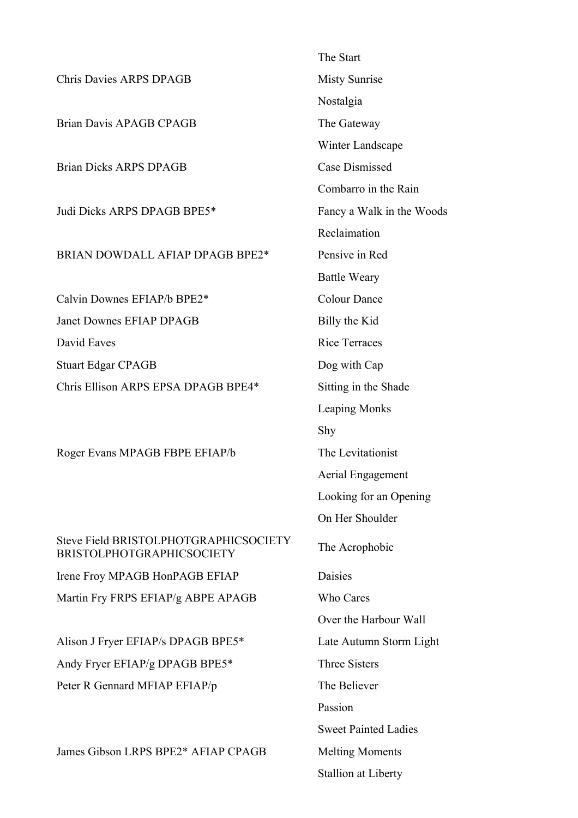|                                                                           | The Start                   |
|---------------------------------------------------------------------------|-----------------------------|
| <b>Chris Davies ARPS DPAGB</b>                                            | <b>Misty Sunrise</b>        |
|                                                                           | Nostalgia                   |
| <b>Brian Davis APAGB CPAGB</b>                                            | The Gateway                 |
|                                                                           | Winter Landscape            |
| <b>Brian Dicks ARPS DPAGB</b>                                             | <b>Case Dismissed</b>       |
|                                                                           | Combarro in the Rain        |
| Judi Dicks ARPS DPAGB BPE5*                                               | Fancy a Walk in the Woods   |
|                                                                           | Reclaimation                |
| BRIAN DOWDALL AFIAP DPAGB BPE2*                                           | Pensive in Red              |
|                                                                           | <b>Battle Weary</b>         |
| Calvin Downes EFIAP/b BPE2*                                               | <b>Colour Dance</b>         |
| <b>Janet Downes EFIAP DPAGB</b>                                           | Billy the Kid               |
| David Eaves                                                               | <b>Rice Terraces</b>        |
| <b>Stuart Edgar CPAGB</b>                                                 | Dog with Cap                |
| Chris Ellison ARPS EPSA DPAGB BPE4*                                       | Sitting in the Shade        |
|                                                                           | <b>Leaping Monks</b>        |
|                                                                           | Shy                         |
| Roger Evans MPAGB FBPE EFIAP/b                                            | The Levitationist           |
|                                                                           | Aerial Engagement           |
|                                                                           | Looking for an Opening      |
|                                                                           | On Her Shoulder             |
| Steve Field BRISTOLPHOTGRAPHICSOCIETY<br><b>BRISTOLPHOTGRAPHICSOCIETY</b> | The Acrophobic              |
| Irene Froy MPAGB HonPAGB EFIAP                                            | Daisies                     |
| Martin Fry FRPS EFIAP/g ABPE APAGB                                        | Who Cares                   |
|                                                                           | Over the Harbour Wall       |
| Alison J Fryer EFIAP/s DPAGB BPE5*                                        | Late Autumn Storm Light     |
| Andy Fryer EFIAP/g DPAGB BPE5*                                            | <b>Three Sisters</b>        |
| Peter R Gennard MFIAP EFIAP/p                                             | The Believer                |
|                                                                           | Passion                     |
|                                                                           | <b>Sweet Painted Ladies</b> |
| James Gibson LRPS BPE2* AFIAP CPAGB                                       | <b>Melting Moments</b>      |
|                                                                           | <b>Stallion at Liberty</b>  |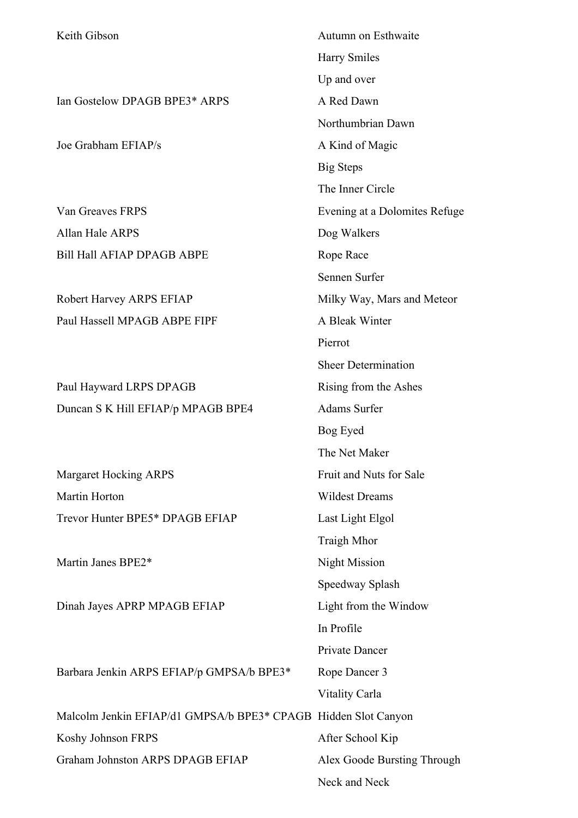| Keith Gibson                                                   | Autumn on Esthwaite           |
|----------------------------------------------------------------|-------------------------------|
|                                                                | <b>Harry Smiles</b>           |
|                                                                | Up and over                   |
| Ian Gostelow DPAGB BPE3* ARPS                                  | A Red Dawn                    |
|                                                                | Northumbrian Dawn             |
| Joe Grabham EFIAP/s                                            | A Kind of Magic               |
|                                                                | <b>Big Steps</b>              |
|                                                                | The Inner Circle              |
| Van Greaves FRPS                                               | Evening at a Dolomites Refuge |
| Allan Hale ARPS                                                | Dog Walkers                   |
| <b>Bill Hall AFIAP DPAGB ABPE</b>                              | Rope Race                     |
|                                                                | Sennen Surfer                 |
| Robert Harvey ARPS EFIAP                                       | Milky Way, Mars and Meteor    |
| Paul Hassell MPAGB ABPE FIPF                                   | A Bleak Winter                |
|                                                                | Pierrot                       |
|                                                                | <b>Sheer Determination</b>    |
| Paul Hayward LRPS DPAGB                                        | Rising from the Ashes         |
| Duncan S K Hill EFIAP/p MPAGB BPE4                             | Adams Surfer                  |
|                                                                | Bog Eyed                      |
|                                                                | The Net Maker                 |
| <b>Margaret Hocking ARPS</b>                                   | Fruit and Nuts for Sale       |
| Martin Horton                                                  | <b>Wildest Dreams</b>         |
| Trevor Hunter BPE5* DPAGB EFIAP                                | Last Light Elgol              |
|                                                                | Traigh Mhor                   |
| Martin Janes BPE2*                                             | <b>Night Mission</b>          |
|                                                                | Speedway Splash               |
| Dinah Jayes APRP MPAGB EFIAP                                   | Light from the Window         |
|                                                                | In Profile                    |
|                                                                | Private Dancer                |
| Barbara Jenkin ARPS EFIAP/p GMPSA/b BPE3*                      | Rope Dancer 3                 |
|                                                                | Vitality Carla                |
| Malcolm Jenkin EFIAP/d1 GMPSA/b BPE3* CPAGB Hidden Slot Canyon |                               |
| Koshy Johnson FRPS                                             | After School Kip              |
| Graham Johnston ARPS DPAGB EFIAP                               | Alex Goode Bursting Through   |
|                                                                | Neck and Neck                 |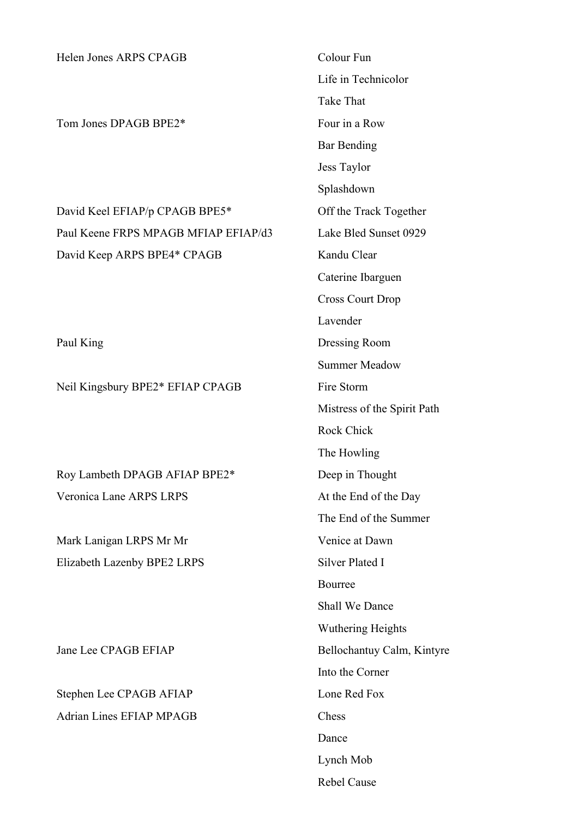Helen Jones ARPS CPAGB Colour Fun Life in Technicolor Take That Tom Jones DPAGB BPE2\* Four in a Row Bar Bending Jess Taylor Splashdown David Keel EFIAP/p CPAGB BPE5\* Off the Track Together Paul Keene FRPS MPAGB MFIAP EFIAP/d3 Lake Bled Sunset 0929 David Keep ARPS BPE4\* CPAGB Kandu Clear Caterine Ibarguen Cross Court Drop Lavender Paul King Dressing Room Summer Meadow Neil Kingsbury BPE2\* EFIAP CPAGB Fire Storm Mistress of the Spirit Path Rock Chick The Howling Roy Lambeth DPAGB AFIAP BPE2\* Deep in Thought Veronica Lane ARPS LRPS At the End of the Day The End of the Summer Mark Lanigan LRPS Mr Mr Venice at Dawn Elizabeth Lazenby BPE2 LRPS Silver Plated I Bourree Shall We Dance Wuthering Heights Jane Lee CPAGB EFIAP Bellochantuy Calm, Kintyre Into the Corner Stephen Lee CPAGB AFIAP Lone Red Fox Adrian Lines EFIAP MPAGB Chess Dance Lynch Mob

Rebel Cause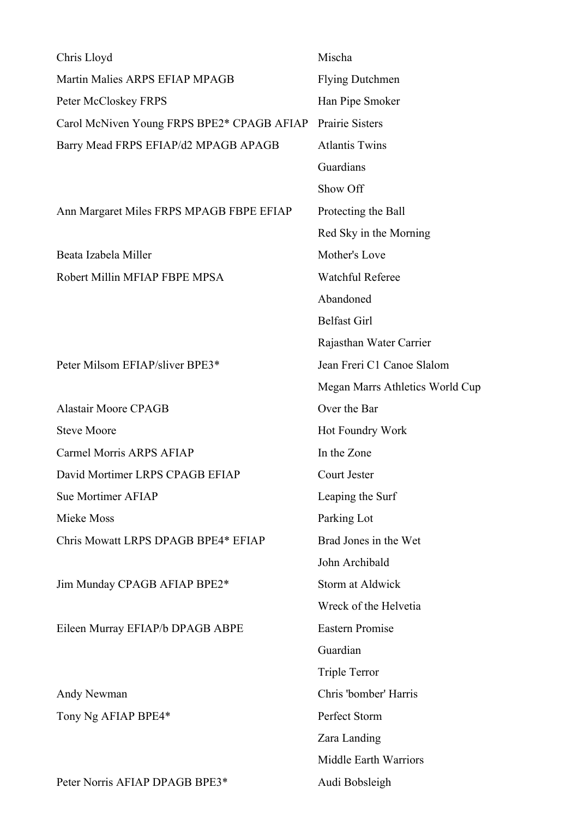| Chris Lloyd                                | Mischa                          |
|--------------------------------------------|---------------------------------|
| Martin Malies ARPS EFIAP MPAGB             | <b>Flying Dutchmen</b>          |
| Peter McCloskey FRPS                       | Han Pipe Smoker                 |
| Carol McNiven Young FRPS BPE2* CPAGB AFIAP | <b>Prairie Sisters</b>          |
| Barry Mead FRPS EFIAP/d2 MPAGB APAGB       | <b>Atlantis Twins</b>           |
|                                            | Guardians                       |
|                                            | Show Off                        |
| Ann Margaret Miles FRPS MPAGB FBPE EFIAP   | Protecting the Ball             |
|                                            | Red Sky in the Morning          |
| Beata Izabela Miller                       | Mother's Love                   |
| Robert Millin MFIAP FBPE MPSA              | <b>Watchful Referee</b>         |
|                                            | Abandoned                       |
|                                            | <b>Belfast Girl</b>             |
|                                            | Rajasthan Water Carrier         |
| Peter Milsom EFIAP/sliver BPE3*            | Jean Freri C1 Canoe Slalom      |
|                                            | Megan Marrs Athletics World Cup |
| <b>Alastair Moore CPAGB</b>                | Over the Bar                    |
| <b>Steve Moore</b>                         | Hot Foundry Work                |
| Carmel Morris ARPS AFIAP                   | In the Zone                     |
| David Mortimer LRPS CPAGB EFIAP            | Court Jester                    |
| Sue Mortimer AFIAP                         | Leaping the Surf                |
| Mieke Moss                                 | Parking Lot                     |
| Chris Mowatt LRPS DPAGB BPE4* EFIAP        | Brad Jones in the Wet           |
|                                            | John Archibald                  |
| Jim Munday CPAGB AFIAP BPE2*               | <b>Storm at Aldwick</b>         |
|                                            | Wreck of the Helvetia           |
| Eileen Murray EFIAP/b DPAGB ABPE           | <b>Eastern Promise</b>          |
|                                            | Guardian                        |
|                                            | <b>Triple Terror</b>            |
| Andy Newman                                | Chris 'bomber' Harris           |
| Tony Ng AFIAP BPE4*                        | Perfect Storm                   |
|                                            | Zara Landing                    |
|                                            | Middle Earth Warriors           |
| Peter Norris AFIAP DPAGB BPE3*             | Audi Bobsleigh                  |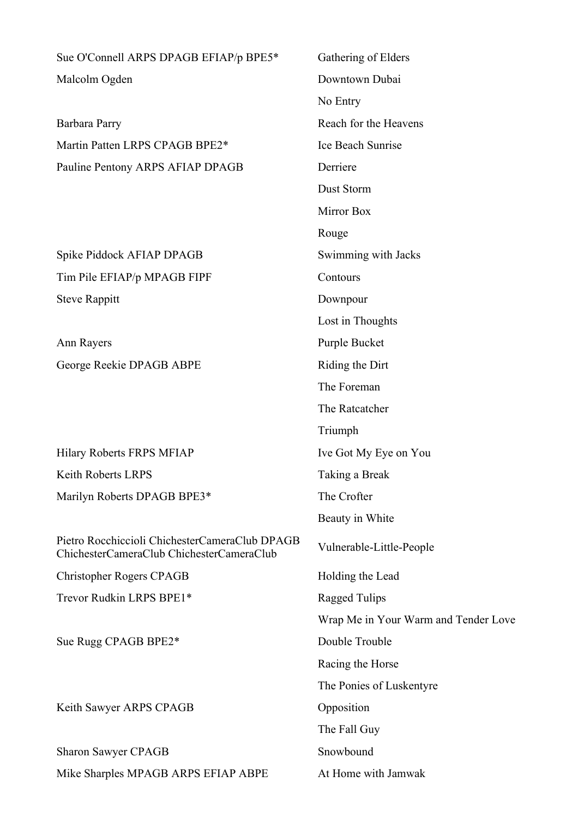Sue O'Connell ARPS DPAGB EFIAP/p BPE5\* Gathering of Elders Malcolm Ogden Downtown Dubai

Barbara Parry Reach for the Heavens Martin Patten LRPS CPAGB BPE2<sup>\*</sup> Ice Beach Sunrise Pauline Pentony ARPS AFIAP DPAGB Derriere

Spike Piddock AFIAP DPAGB Swimming with Jacks Tim Pile EFIAP/p MPAGB FIPF Contours Steve Rappitt Downpour

Ann Rayers Purple Bucket George Reekie DPAGB ABPE Riding the Dirt

Hilary Roberts FRPS MFIAP Ive Got My Eye on You Keith Roberts LRPS Taking a Break Marilyn Roberts DPAGB BPE3\* The Crofter

Pietro Rocchiccioli ChichesterCameraClub DPAGB ChichesterCameraClub ChichesterCameraClub Vulnerable-Little-People

Christopher Rogers CPAGB Holding the Lead

Trevor Rudkin LRPS BPE1\* Ragged Tulips

Sue Rugg CPAGB BPE2\* Double Trouble

Keith Sawyer ARPS CPAGB Opposition

Sharon Sawyer CPAGB Snowbound Mike Sharples MPAGB ARPS EFIAP ABPE At Home with Jamwak

No Entry Dust Storm Mirror Box Rouge Lost in Thoughts The Foreman The Ratcatcher Triumph Beauty in White Wrap Me in Your Warm and Tender Love Racing the Horse The Ponies of Luskentyre The Fall Guy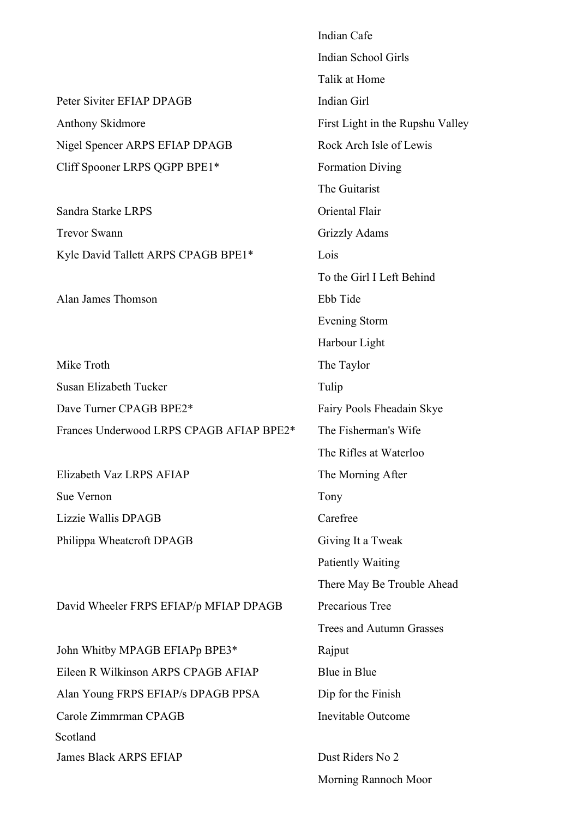|                                          | Indian Cafe                      |
|------------------------------------------|----------------------------------|
|                                          | Indian School Girls              |
|                                          | Talik at Home                    |
| Peter Siviter EFIAP DPAGB                | Indian Girl                      |
| <b>Anthony Skidmore</b>                  | First Light in the Rupshu Valley |
| Nigel Spencer ARPS EFIAP DPAGB           | Rock Arch Isle of Lewis          |
| Cliff Spooner LRPS QGPP BPE1*            | <b>Formation Diving</b>          |
|                                          | The Guitarist                    |
| Sandra Starke LRPS                       | Oriental Flair                   |
| <b>Trevor Swann</b>                      | Grizzly Adams                    |
| Kyle David Tallett ARPS CPAGB BPE1*      | Lois                             |
|                                          | To the Girl I Left Behind        |
| Alan James Thomson                       | Ebb Tide                         |
|                                          | <b>Evening Storm</b>             |
|                                          | Harbour Light                    |
| Mike Troth                               | The Taylor                       |
| Susan Elizabeth Tucker                   | Tulip                            |
| Dave Turner CPAGB BPE2*                  | Fairy Pools Fheadain Skye        |
| Frances Underwood LRPS CPAGB AFIAP BPE2* | The Fisherman's Wife             |
|                                          | The Rifles at Waterloo           |
| Elizabeth Vaz LRPS AFIAP                 | The Morning After                |
| Sue Vernon                               | Tony                             |
| Lizzie Wallis DPAGB                      | Carefree                         |
| Philippa Wheatcroft DPAGB                | Giving It a Tweak                |
|                                          | <b>Patiently Waiting</b>         |
|                                          | There May Be Trouble Ahead       |
| David Wheeler FRPS EFIAP/p MFIAP DPAGB   | Precarious Tree                  |
|                                          | <b>Trees and Autumn Grasses</b>  |
| John Whitby MPAGB EFIAPp BPE3*           | Rajput                           |
| Eileen R Wilkinson ARPS CPAGB AFIAP      | Blue in Blue                     |
| Alan Young FRPS EFIAP/s DPAGB PPSA       | Dip for the Finish               |
| Carole Zimmrman CPAGB                    | <b>Inevitable Outcome</b>        |
| Scotland                                 |                                  |
| <b>James Black ARPS EFIAP</b>            | Dust Riders No 2                 |

Morning Rannoch Moor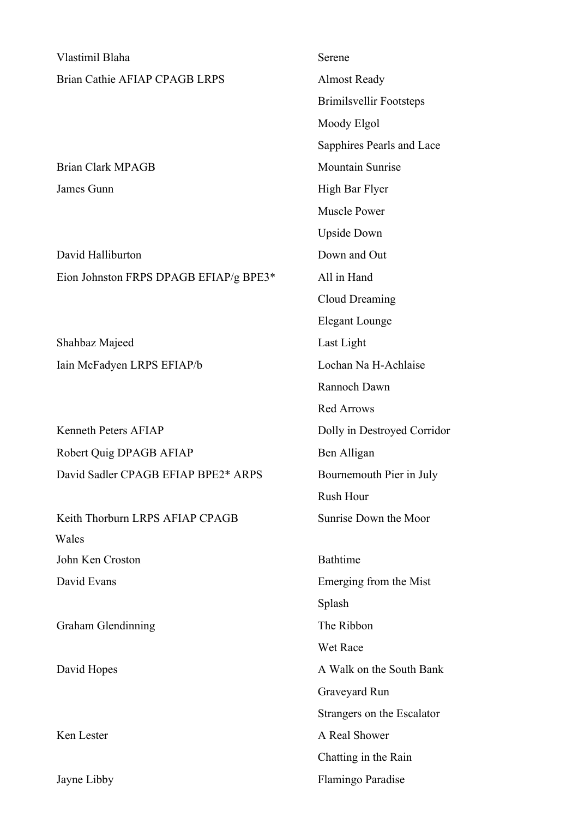| Vlastimil Blaha                        | Serene                         |
|----------------------------------------|--------------------------------|
| Brian Cathie AFIAP CPAGB LRPS          | <b>Almost Ready</b>            |
|                                        | <b>Brimilsvellir Footsteps</b> |
|                                        | Moody Elgol                    |
|                                        | Sapphires Pearls and Lace      |
| <b>Brian Clark MPAGB</b>               | <b>Mountain Sunrise</b>        |
| James Gunn                             | High Bar Flyer                 |
|                                        | <b>Muscle Power</b>            |
|                                        | <b>Upside Down</b>             |
| David Halliburton                      | Down and Out                   |
| Eion Johnston FRPS DPAGB EFIAP/g BPE3* | All in Hand                    |
|                                        | <b>Cloud Dreaming</b>          |
|                                        | <b>Elegant Lounge</b>          |
| Shahbaz Majeed                         | Last Light                     |
| Iain McFadyen LRPS EFIAP/b             | Lochan Na H-Achlaise           |
|                                        | Rannoch Dawn                   |
|                                        | <b>Red Arrows</b>              |
| <b>Kenneth Peters AFIAP</b>            | Dolly in Destroyed Corridor    |
| Robert Quig DPAGB AFIAP                | Ben Alligan                    |
| David Sadler CPAGB EFIAP BPE2* ARPS    | Bournemouth Pier in July       |
|                                        | Rush Hour                      |
| Keith Thorburn LRPS AFIAP CPAGB        | Sunrise Down the Moor          |
| Wales                                  |                                |
| John Ken Croston                       | <b>Bathtime</b>                |
| David Evans                            | Emerging from the Mist         |
|                                        | Splash                         |
| Graham Glendinning                     | The Ribbon                     |
|                                        | Wet Race                       |
| David Hopes                            | A Walk on the South Bank       |
|                                        | Graveyard Run                  |
|                                        | Strangers on the Escalator     |
| Ken Lester                             | A Real Shower                  |
|                                        | Chatting in the Rain           |
| Jayne Libby                            | Flamingo Paradise              |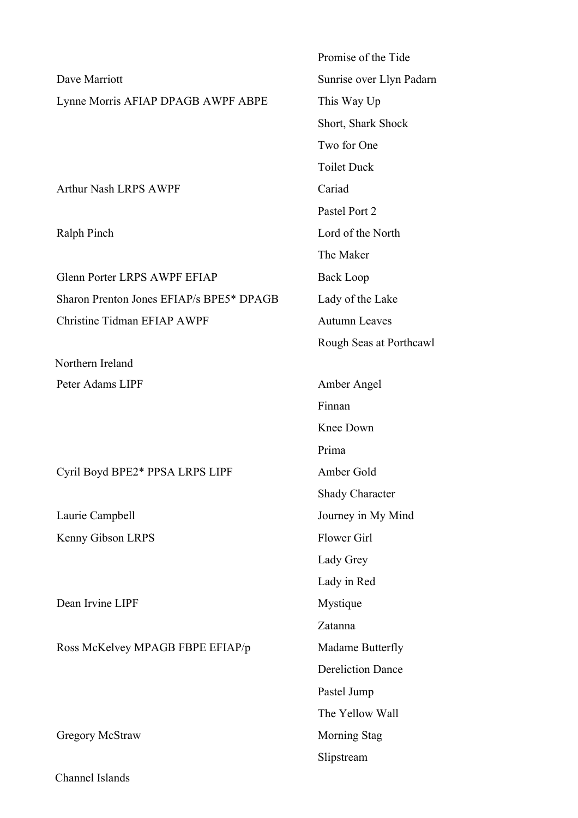Dave Marriott Sunrise over Llyn Padarn Lynne Morris AFIAP DPAGB AWPF ABPE This Way Up

Arthur Nash LRPS AWPF Cariad

Glenn Porter LRPS AWPF EFIAP Back Loop Sharon Prenton Jones EFIAP/s BPE5\* DPAGB Lady of the Lake Christine Tidman EFIAP AWPF Autumn Leaves

Northern Ireland

Cyril Boyd BPE2\* PPSA LRPS LIPF Amber Gold

Kenny Gibson LRPS Flower Girl

Dean Irvine LIPF Mystique

Ross McKelvey MPAGB FBPE EFIAP/p Madame Butterfly

Gregory McStraw Morning Stag

Channel Islands

Promise of the Tide Short, Shark Shock Two for One Toilet Duck Pastel Port 2 Ralph Pinch Lord of the North The Maker Rough Seas at Porthcawl Peter Adams LIPF Amber Angel Finnan Knee Down Prima Shady Character Laurie Campbell Journey in My Mind Lady Grey Lady in Red Zatanna Dereliction Dance Pastel Jump The Yellow Wall

Slipstream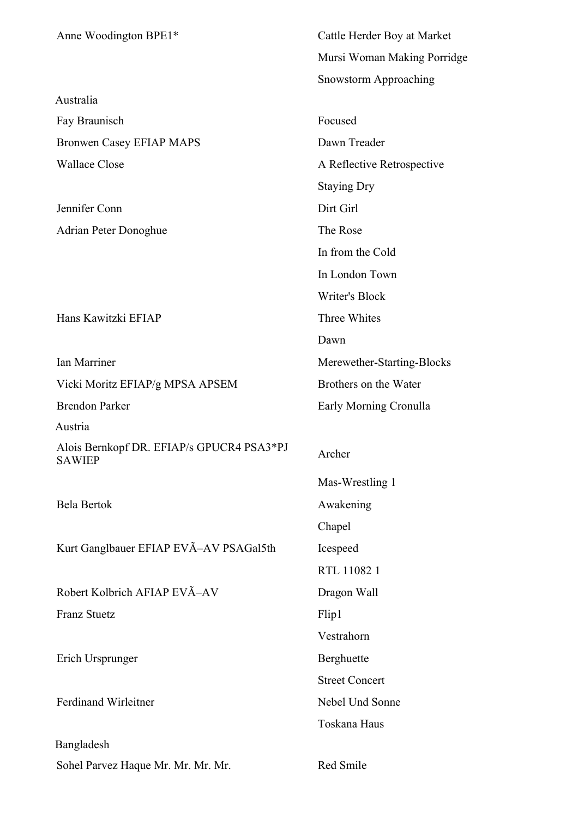| Anne Woodington BPE1*                               | Cattle Herder Boy at Market |
|-----------------------------------------------------|-----------------------------|
|                                                     | Mursi Woman Making Porridge |
|                                                     |                             |
| Australia                                           | Snowstorm Approaching       |
| Fay Braunisch                                       | Focused                     |
| <b>Bronwen Casey EFIAP MAPS</b>                     | Dawn Treader                |
| <b>Wallace Close</b>                                | A Reflective Retrospective  |
|                                                     |                             |
|                                                     | <b>Staying Dry</b>          |
| Jennifer Conn                                       | Dirt Girl                   |
| <b>Adrian Peter Donoghue</b>                        | The Rose                    |
|                                                     | In from the Cold            |
|                                                     | In London Town              |
|                                                     | <b>Writer's Block</b>       |
| Hans Kawitzki EFIAP                                 | Three Whites                |
|                                                     | Dawn                        |
| Ian Marriner                                        | Merewether-Starting-Blocks  |
| Vicki Moritz EFIAP/g MPSA APSEM                     | Brothers on the Water       |
| <b>Brendon Parker</b>                               | Early Morning Cronulla      |
| Austria                                             |                             |
| Alois Bernkopf DR. EFIAP/s GPUCR4 PSA3*PJ<br>SAWIEP | Archer                      |
|                                                     | Mas-Wrestling 1             |
| Bela Bertok                                         | Awakening                   |
|                                                     | Chapel                      |
| Kurt Ganglbauer EFIAP EVÃ-AV PSAGal5th              | Icespeed                    |
|                                                     | RTL 11082 1                 |
| Robert Kolbrich AFIAP EVÃ-AV                        | Dragon Wall                 |
| <b>Franz Stuetz</b>                                 | Flip1                       |
|                                                     | Vestrahorn                  |
| Erich Ursprunger                                    | Berghuette                  |
|                                                     | <b>Street Concert</b>       |
| <b>Ferdinand Wirleitner</b>                         | Nebel Und Sonne             |
|                                                     | Toskana Haus                |
| Bangladesh                                          |                             |
| Sohel Parvez Haque Mr. Mr. Mr. Mr.                  | Red Smile                   |
|                                                     |                             |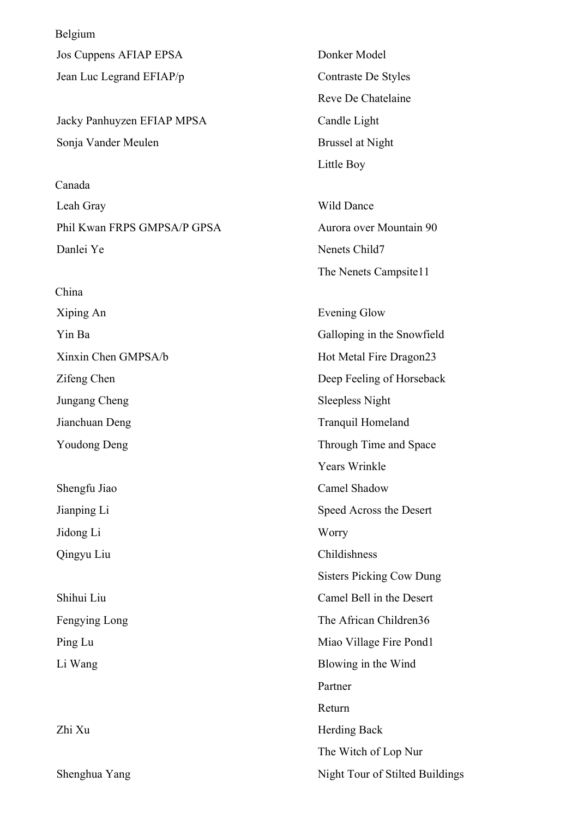Belgium Jos Cuppens AFIAP EPSA Donker Model Jean Luc Legrand EFIAP/p Contraste De Styles

Jacky Panhuyzen EFIAP MPSA Candle Light Sonja Vander Meulen Brussel at Night

Canada Leah Gray Wild Dance Phil Kwan FRPS GMPSA/P GPSA Aurora over Mountain 90 Danlei Ye Nenets Child7

China Xiping An Evening Glow Jungang Cheng Sleepless Night Jianchuan Deng Tranquil Homeland

Jidong Li Worry Qingyu Liu Childishness

Shenghua Yang Night Tour of Stilted Buildings

Reve De Chatelaine Little Boy

The Nenets Campsite11

Yin Ba Galloping in the Snowfield Xinxin Chen GMPSA/b Hot Metal Fire Dragon23 Zifeng Chen Deep Feeling of Horseback Youdong Deng Through Time and Space Years Wrinkle Shengfu Jiao Camel Shadow Jianping Li Speed Across the Desert Sisters Picking Cow Dung Shihui Liu Camel Bell in the Desert Fengying Long The African Children36 Ping Lu Miao Village Fire Pond1 Li Wang Blowing in the Wind Partner Return Zhi Xu Herding Back The Witch of Lop Nur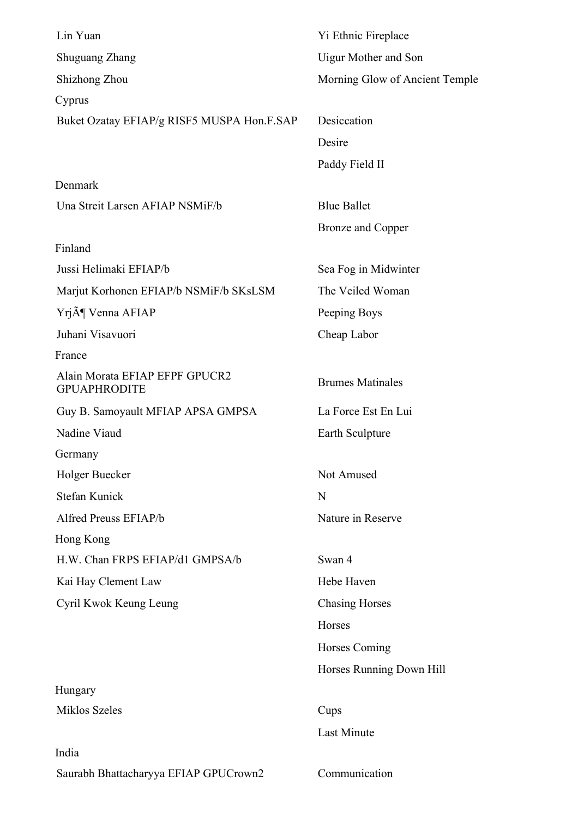| Lin Yuan                                              | Yi Ethnic Fireplace            |
|-------------------------------------------------------|--------------------------------|
| <b>Shuguang Zhang</b>                                 | <b>Uigur Mother and Son</b>    |
| Shizhong Zhou                                         | Morning Glow of Ancient Temple |
| Cyprus                                                |                                |
| Buket Ozatay EFIAP/g RISF5 MUSPA Hon.F.SAP            | Desiccation                    |
|                                                       | Desire                         |
|                                                       | Paddy Field II                 |
| Denmark                                               |                                |
| Una Streit Larsen AFIAP NSMiF/b                       | <b>Blue Ballet</b>             |
|                                                       | <b>Bronze</b> and Copper       |
| Finland                                               |                                |
| Jussi Helimaki EFIAP/b                                | Sea Fog in Midwinter           |
| Marjut Korhonen EFIAP/b NSMiF/b SKsLSM                | The Veiled Woman               |
| Yrj¶ Venna AFIAP                                      | Peeping Boys                   |
| Juhani Visavuori                                      | Cheap Labor                    |
| France                                                |                                |
| Alain Morata EFIAP EFPF GPUCR2<br><b>GPUAPHRODITE</b> | <b>Brumes Matinales</b>        |
| Guy B. Samoyault MFIAP APSA GMPSA                     | La Force Est En Lui            |
| Nadine Viaud                                          | Earth Sculpture                |
| Germany                                               |                                |
| Holger Buecker                                        | Not Amused                     |
| <b>Stefan Kunick</b>                                  | N                              |
| Alfred Preuss EFIAP/b                                 | Nature in Reserve              |
| Hong Kong                                             |                                |
| H.W. Chan FRPS EFIAP/d1 GMPSA/b                       | Swan 4                         |
| Kai Hay Clement Law                                   | Hebe Haven                     |
| Cyril Kwok Keung Leung                                | <b>Chasing Horses</b>          |
|                                                       | Horses                         |
|                                                       | Horses Coming                  |
|                                                       | Horses Running Down Hill       |
| Hungary                                               |                                |
| Miklos Szeles                                         | Cups                           |
|                                                       | <b>Last Minute</b>             |
| India                                                 |                                |
| Saurabh Bhattacharyya EFIAP GPUCrown2                 | Communication                  |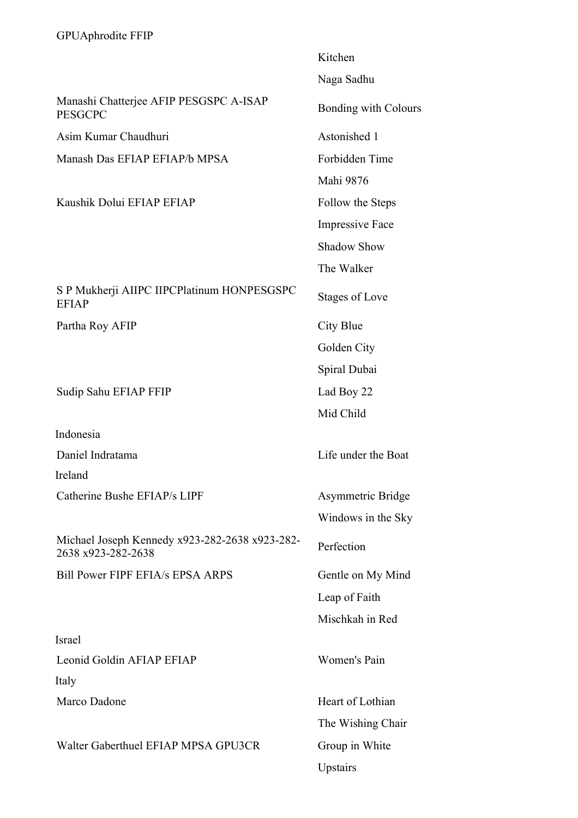|                                                                      | Kitchen                     |
|----------------------------------------------------------------------|-----------------------------|
|                                                                      | Naga Sadhu                  |
| Manashi Chatterjee AFIP PESGSPC A-ISAP<br><b>PESGCPC</b>             | <b>Bonding with Colours</b> |
| Asim Kumar Chaudhuri                                                 | Astonished 1                |
| Manash Das EFIAP EFIAP/b MPSA                                        | Forbidden Time              |
|                                                                      | Mahi 9876                   |
| Kaushik Dolui EFIAP EFIAP                                            | Follow the Steps            |
|                                                                      | <b>Impressive Face</b>      |
|                                                                      | <b>Shadow Show</b>          |
|                                                                      | The Walker                  |
| S P Mukherji AIIPC IIPCPlatinum HONPESGSPC<br><b>EFIAP</b>           | Stages of Love              |
| Partha Roy AFIP                                                      | City Blue                   |
|                                                                      | Golden City                 |
|                                                                      | Spiral Dubai                |
| Sudip Sahu EFIAP FFIP                                                | Lad Boy 22                  |
|                                                                      | Mid Child                   |
| Indonesia                                                            |                             |
| Daniel Indratama                                                     | Life under the Boat         |
| Ireland                                                              |                             |
| Catherine Bushe EFIAP/s LIPF                                         | Asymmetric Bridge           |
|                                                                      | Windows in the Sky          |
| Michael Joseph Kennedy x923-282-2638 x923-282-<br>2638 x923-282-2638 | Perfection                  |
| Bill Power FIPF EFIA/s EPSA ARPS                                     | Gentle on My Mind           |
|                                                                      | Leap of Faith               |
|                                                                      | Mischkah in Red             |
| <b>Israel</b>                                                        |                             |
| Leonid Goldin AFIAP EFIAP                                            | Women's Pain                |
| Italy                                                                |                             |
| Marco Dadone                                                         | Heart of Lothian            |
|                                                                      | The Wishing Chair           |
| Walter Gaberthuel EFIAP MPSA GPU3CR                                  | Group in White              |
|                                                                      | Upstairs                    |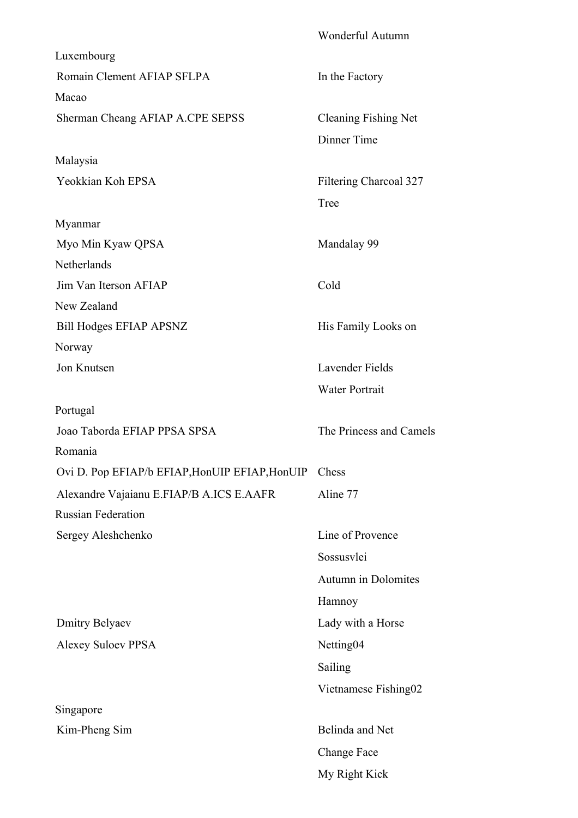|                                                | <b>Wonderful Autumn</b>     |
|------------------------------------------------|-----------------------------|
| Luxembourg                                     |                             |
| Romain Clement AFIAP SFLPA                     | In the Factory              |
| Macao                                          |                             |
| Sherman Cheang AFIAP A.CPE SEPSS               | <b>Cleaning Fishing Net</b> |
|                                                | Dinner Time                 |
| Malaysia                                       |                             |
| Yeokkian Koh EPSA                              | Filtering Charcoal 327      |
|                                                | Tree                        |
| Myanmar                                        |                             |
| Myo Min Kyaw QPSA                              | Mandalay 99                 |
| Netherlands                                    |                             |
| Jim Van Iterson AFIAP                          | Cold                        |
| New Zealand                                    |                             |
| <b>Bill Hodges EFIAP APSNZ</b>                 | His Family Looks on         |
| Norway                                         |                             |
| Jon Knutsen                                    | Lavender Fields             |
|                                                | <b>Water Portrait</b>       |
| Portugal                                       |                             |
| Joao Taborda EFIAP PPSA SPSA                   | The Princess and Camels     |
| Romania                                        |                             |
| Ovi D. Pop EFIAP/b EFIAP, HonUIP EFIAP, HonUIP | Chess                       |
| Alexandre Vajaianu E.FIAP/B A.ICS E.AAFR       | Aline 77                    |
| <b>Russian Federation</b>                      |                             |
| Sergey Aleshchenko                             | Line of Provence            |
|                                                | Sossusvlei                  |
|                                                | Autumn in Dolomites         |
|                                                | Hamnoy                      |
| <b>Dmitry Belyaev</b>                          | Lady with a Horse           |
| <b>Alexey Suloev PPSA</b>                      | Netting04                   |
|                                                | Sailing                     |
|                                                | Vietnamese Fishing02        |
| Singapore                                      |                             |
| Kim-Pheng Sim                                  | Belinda and Net             |
|                                                | Change Face                 |
|                                                | My Right Kick               |
|                                                |                             |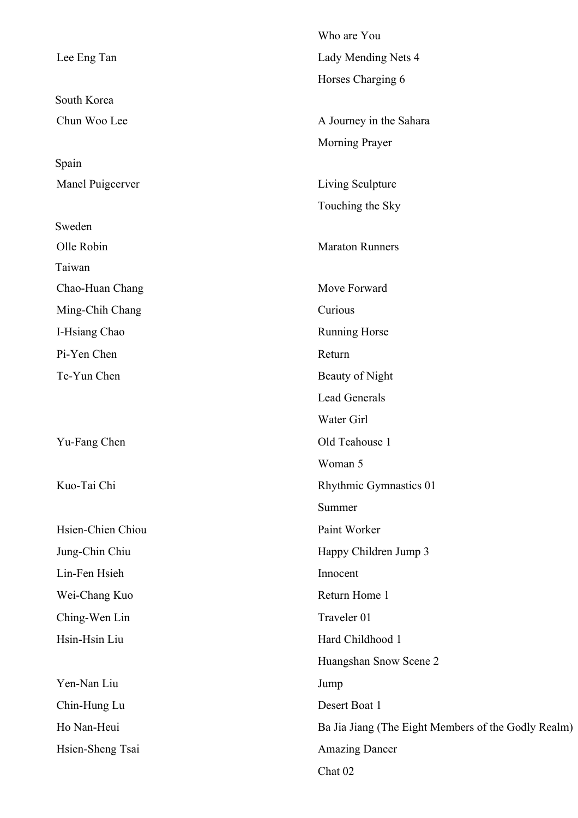|                   | Who are You                                         |
|-------------------|-----------------------------------------------------|
| Lee Eng Tan       | Lady Mending Nets 4                                 |
|                   | Horses Charging 6                                   |
| South Korea       |                                                     |
| Chun Woo Lee      | A Journey in the Sahara                             |
|                   | Morning Prayer                                      |
| Spain             |                                                     |
| Manel Puigcerver  | Living Sculpture                                    |
|                   | Touching the Sky                                    |
| Sweden            |                                                     |
| Olle Robin        | <b>Maraton Runners</b>                              |
| Taiwan            |                                                     |
| Chao-Huan Chang   | Move Forward                                        |
| Ming-Chih Chang   | Curious                                             |
| I-Hsiang Chao     | Running Horse                                       |
| Pi-Yen Chen       | Return                                              |
| Te-Yun Chen       | Beauty of Night                                     |
|                   | <b>Lead Generals</b>                                |
|                   | Water Girl                                          |
| Yu-Fang Chen      | Old Teahouse 1                                      |
|                   | Woman 5                                             |
| Kuo-Tai Chi       | Rhythmic Gymnastics 01                              |
|                   | Summer                                              |
| Hsien-Chien Chiou | Paint Worker                                        |
| Jung-Chin Chiu    | Happy Children Jump 3                               |
| Lin-Fen Hsieh     | Innocent                                            |
| Wei-Chang Kuo     | Return Home 1                                       |
| Ching-Wen Lin     | Traveler 01                                         |
| Hsin-Hsin Liu     | Hard Childhood 1                                    |
|                   | Huangshan Snow Scene 2                              |
| Yen-Nan Liu       | Jump                                                |
| Chin-Hung Lu      | Desert Boat 1                                       |
| Ho Nan-Heui       | Ba Jia Jiang (The Eight Members of the Godly Realm) |
| Hsien-Sheng Tsai  | <b>Amazing Dancer</b>                               |
|                   | Chat 02                                             |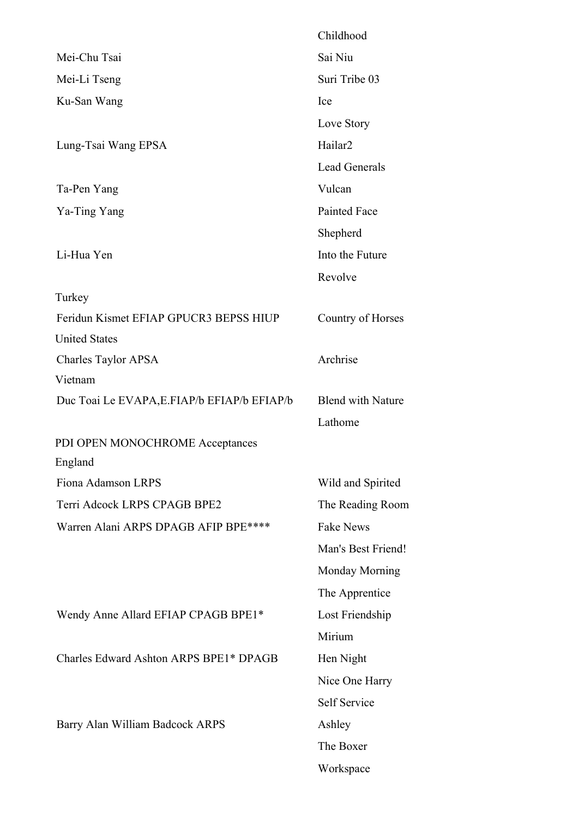|                                              | Childhood                |
|----------------------------------------------|--------------------------|
| Mei-Chu Tsai                                 | Sai Niu                  |
| Mei-Li Tseng                                 | Suri Tribe 03            |
| Ku-San Wang                                  | Ice                      |
|                                              | Love Story               |
| Lung-Tsai Wang EPSA                          | Hailar <sub>2</sub>      |
|                                              | Lead Generals            |
| Ta-Pen Yang                                  | Vulcan                   |
| Ya-Ting Yang                                 | <b>Painted Face</b>      |
|                                              | Shepherd                 |
| Li-Hua Yen                                   | Into the Future          |
|                                              | Revolve                  |
| Turkey                                       |                          |
| Feridun Kismet EFIAP GPUCR3 BEPSS HIUP       | Country of Horses        |
| <b>United States</b>                         |                          |
| Charles Taylor APSA                          | Archrise                 |
| Vietnam                                      |                          |
| Duc Toai Le EVAPA, E. FIAP/b EFIAP/b EFIAP/b | <b>Blend with Nature</b> |
|                                              | Lathome                  |
| PDI OPEN MONOCHROME Acceptances              |                          |
| England                                      |                          |
| Fiona Adamson LRPS                           | Wild and Spirited        |
| Terri Adcock LRPS CPAGB BPE2                 | The Reading Room         |
| Warren Alani ARPS DPAGB AFIP BPE****         | <b>Fake News</b>         |
|                                              | Man's Best Friend!       |
|                                              | <b>Monday Morning</b>    |
|                                              | The Apprentice           |
| Wendy Anne Allard EFIAP CPAGB BPE1*          | Lost Friendship          |
|                                              | Mirium                   |
| Charles Edward Ashton ARPS BPE1* DPAGB       | Hen Night                |
|                                              | Nice One Harry           |
|                                              | Self Service             |
| Barry Alan William Badcock ARPS              | Ashley                   |
|                                              | The Boxer                |
|                                              | Workspace                |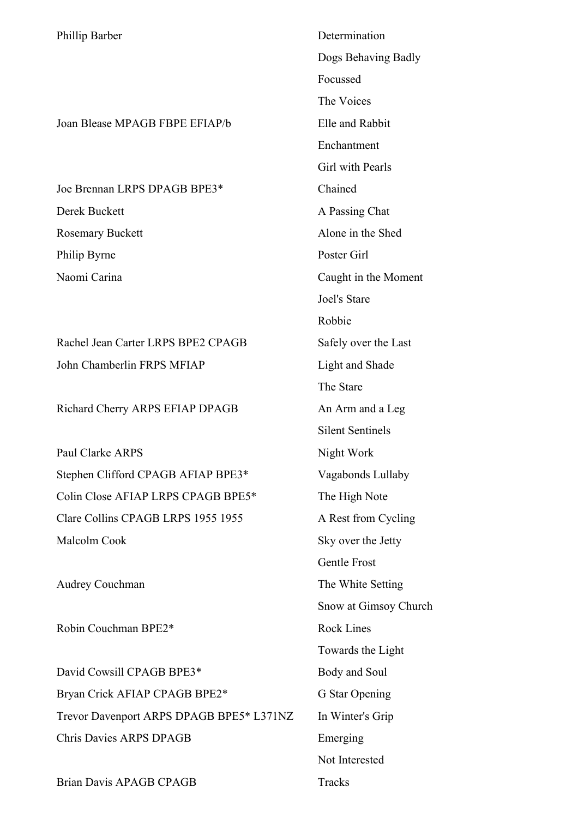Phillip Barber Determination

Joan Blease MPAGB FBPE EFIAP/b Elle and Rabbit

Joe Brennan LRPS DPAGB BPE3\* Chained Derek Buckett A Passing Chat Rosemary Buckett Alone in the Shed Philip Byrne Poster Girl

Rachel Jean Carter LRPS BPE2 CPAGB Safely over the Last John Chamberlin FRPS MFIAP Light and Shade

Richard Cherry ARPS EFIAP DPAGB An Arm and a Leg

Paul Clarke ARPS Night Work Stephen Clifford CPAGB AFIAP BPE3\* Vagabonds Lullaby Colin Close AFIAP LRPS CPAGB BPE5\* The High Note Clare Collins CPAGB LRPS 1955 1955 A Rest from Cycling Malcolm Cook Sky over the Jetty

Audrey Couchman The White Setting

Robin Couchman BPE2\* Rock Lines

David Cowsill CPAGB BPE3\* Body and Soul Bryan Crick AFIAP CPAGB BPE2\* G Star Opening Trevor Davenport ARPS DPAGB BPE5\* L371NZ In Winter's Grip Chris Davies ARPS DPAGB Emerging

Brian Davis APAGB CPAGB Tracks

Dogs Behaving Badly Focussed The Voices Enchantment Girl with Pearls Naomi Carina Caught in the Moment Joel's Stare Robbie The Stare Silent Sentinels Gentle Frost Snow at Gimsoy Church Towards the Light Not Interested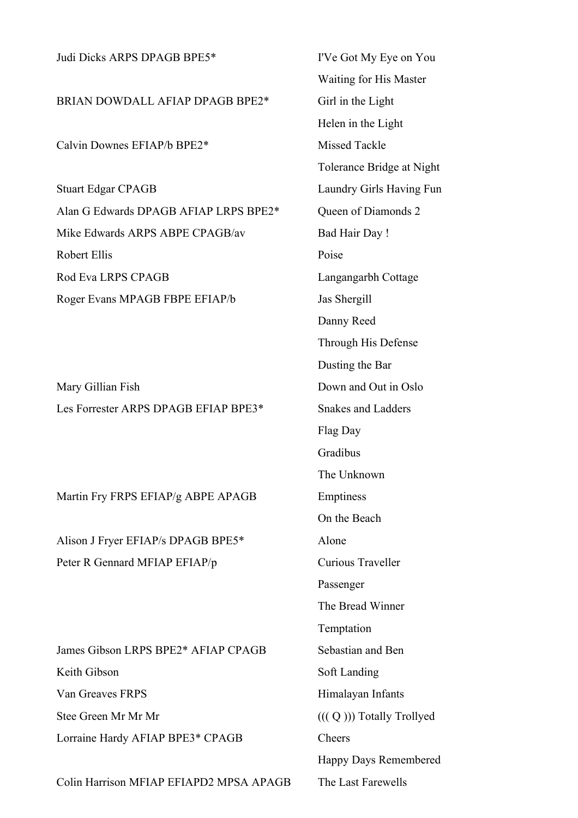| Judi Dicks ARPS DPAGB BPE5*             | I'Ve Got My Eye or        |
|-----------------------------------------|---------------------------|
|                                         | Waiting for His Ma        |
| BRIAN DOWDALL AFIAP DPAGB BPE2*         | Girl in the Light         |
|                                         | Helen in the Light        |
| Calvin Downes EFIAP/b BPE2*             | Missed Tackle             |
|                                         | Tolerance Bridge at       |
| <b>Stuart Edgar CPAGB</b>               | Laundry Girls Havi        |
| Alan G Edwards DPAGB AFIAP LRPS BPE2*   | Queen of Diamonds         |
| Mike Edwards ARPS ABPE CPAGB/av         | <b>Bad Hair Day!</b>      |
| Robert Ellis                            | Poise                     |
| <b>Rod Eva LRPS CPAGB</b>               | Langangarbh Cottag        |
| Roger Evans MPAGB FBPE EFIAP/b          | Jas Shergill              |
|                                         | Danny Reed                |
|                                         | Through His Defen         |
|                                         | Dusting the Bar           |
| Mary Gillian Fish                       | Down and Out in O         |
| Les Forrester ARPS DPAGB EFIAP BPE3*    | <b>Snakes and Ladders</b> |
|                                         | Flag Day                  |
|                                         | Gradibus                  |
|                                         | The Unknown               |
| Martin Fry FRPS EFIAP/g ABPE APAGB      | Emptiness                 |
|                                         | On the Beach              |
| Alison J Fryer EFIAP/s DPAGB BPE5*      | Alone                     |
| Peter R Gennard MFIAP EFIAP/p           | Curious Traveller         |
|                                         | Passenger                 |
|                                         | The Bread Winner          |
|                                         | Temptation                |
| James Gibson LRPS BPE2* AFIAP CPAGB     | Sebastian and Ben         |
| Keith Gibson                            | Soft Landing              |
| Van Greaves FRPS                        | Himalayan Infants         |
| Stee Green Mr Mr Mr                     | $(((Q))$ ) Totally Tro    |
| Lorraine Hardy AFIAP BPE3* CPAGB        | Cheers                    |
|                                         | Happy Days Remer          |
| Colin Harrison MFIAP EFIAPD2 MPSA APAGB | The Last Farewells        |

I'Ve Got My Eye on You Waiting for His Master Girl in the Light Helen in the Light Missed Tackle Tolerance Bridge at Night Laundry Girls Having Fun Queen of Diamonds 2 Bad Hair Day ! Langangarbh Cottage Jas Shergill Danny Reed Through His Defense Dusting the Bar Down and Out in Oslo Snakes and Ladders Flag Day Gradibus The Unknown **Emptiness** On the Beach Curious Traveller Passenger The Bread Winner Temptation Sebastian and Ben Soft Landing Himalayan Infants  $((( Q ))$ ) Totally Trollyed Cheers Happy Days Remembered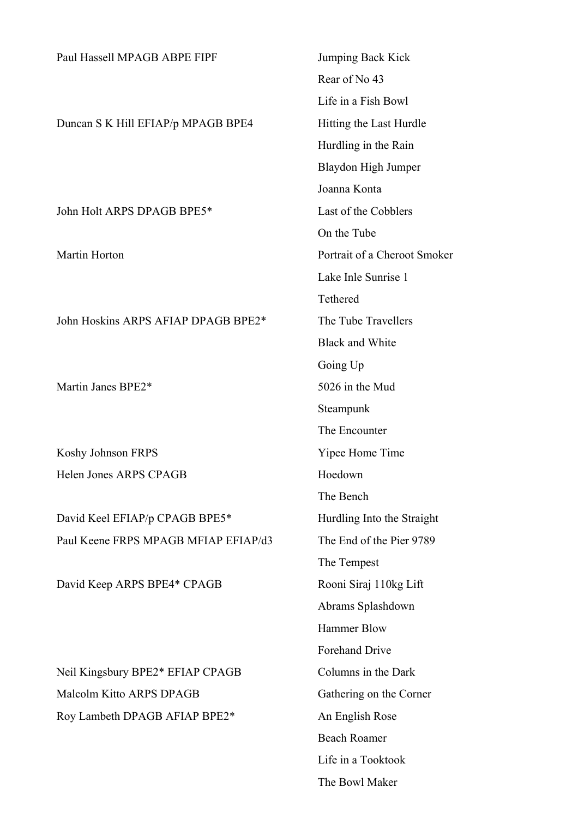| Paul Hassell MPAGB ABPE FIPF         | Jumping Back Kick            |
|--------------------------------------|------------------------------|
|                                      | Rear of No 43                |
|                                      | Life in a Fish Bowl          |
| Duncan S K Hill EFIAP/p MPAGB BPE4   | Hitting the Last Hurdle      |
|                                      | Hurdling in the Rain         |
|                                      | <b>Blaydon High Jumper</b>   |
|                                      | Joanna Konta                 |
| John Holt ARPS DPAGB BPE5*           | Last of the Cobblers         |
|                                      | On the Tube                  |
| Martin Horton                        | Portrait of a Cheroot Smoker |
|                                      | Lake Inle Sunrise 1          |
|                                      | Tethered                     |
| John Hoskins ARPS AFIAP DPAGB BPE2*  | The Tube Travellers          |
|                                      | <b>Black and White</b>       |
|                                      | Going Up                     |
| Martin Janes BPE2*                   | 5026 in the Mud              |
|                                      | Steampunk                    |
|                                      | The Encounter                |
| Koshy Johnson FRPS                   | Yipee Home Time              |
| Helen Jones ARPS CPAGB               | Hoedown                      |
|                                      | The Bench                    |
| David Keel EFIAP/p CPAGB BPE5*       | Hurdling Into the Straight   |
| Paul Keene FRPS MPAGB MFIAP EFIAP/d3 | The End of the Pier 9789     |
|                                      | The Tempest                  |
| David Keep ARPS BPE4* CPAGB          | Rooni Siraj 110kg Lift       |
|                                      | Abrams Splashdown            |
|                                      | <b>Hammer Blow</b>           |
|                                      | <b>Forehand Drive</b>        |
| Neil Kingsbury BPE2* EFIAP CPAGB     | Columns in the Dark          |
| Malcolm Kitto ARPS DPAGB             | Gathering on the Corner      |
| Roy Lambeth DPAGB AFIAP BPE2*        | An English Rose              |
|                                      | <b>Beach Roamer</b>          |
|                                      | Life in a Tooktook           |
|                                      | The Bowl Maker               |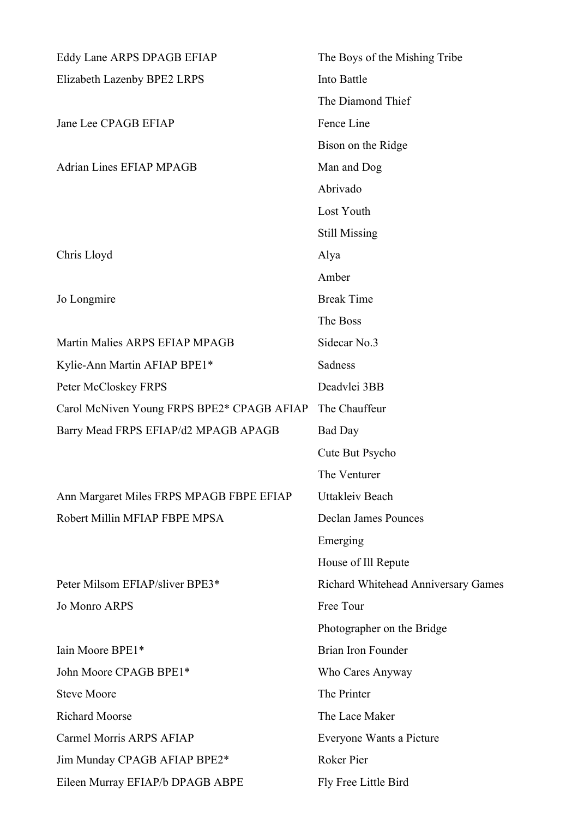| Eddy Lane ARPS DPAGB EFIAP                 | The Boys of the Mishing Tribe       |  |
|--------------------------------------------|-------------------------------------|--|
| Elizabeth Lazenby BPE2 LRPS                | Into Battle                         |  |
|                                            | The Diamond Thief                   |  |
| Jane Lee CPAGB EFIAP                       | Fence Line                          |  |
|                                            | Bison on the Ridge                  |  |
| <b>Adrian Lines EFIAP MPAGB</b>            | Man and Dog                         |  |
|                                            | Abrivado                            |  |
|                                            | Lost Youth                          |  |
|                                            | <b>Still Missing</b>                |  |
| Chris Lloyd                                | Alya                                |  |
|                                            | Amber                               |  |
| Jo Longmire                                | <b>Break Time</b>                   |  |
|                                            | The Boss                            |  |
| Martin Malies ARPS EFIAP MPAGB             | Sidecar No.3                        |  |
| Kylie-Ann Martin AFIAP BPE1*               | Sadness                             |  |
| Peter McCloskey FRPS                       | Deadvlei 3BB                        |  |
| Carol McNiven Young FRPS BPE2* CPAGB AFIAP | The Chauffeur                       |  |
| Barry Mead FRPS EFIAP/d2 MPAGB APAGB       | <b>Bad Day</b>                      |  |
|                                            | Cute But Psycho                     |  |
|                                            | The Venturer                        |  |
| Ann Margaret Miles FRPS MPAGB FBPE EFIAP   | <b>Uttakleiv Beach</b>              |  |
| Robert Millin MFIAP FBPE MPSA              | Declan James Pounces                |  |
|                                            | Emerging                            |  |
|                                            | House of Ill Repute                 |  |
| Peter Milsom EFIAP/sliver BPE3*            | Richard Whitehead Anniversary Games |  |
| <b>Jo Monro ARPS</b>                       | Free Tour                           |  |
|                                            | Photographer on the Bridge          |  |
| Iain Moore BPE1*                           | <b>Brian Iron Founder</b>           |  |
| John Moore CPAGB BPE1*                     | Who Cares Anyway                    |  |
| <b>Steve Moore</b>                         | The Printer                         |  |
| <b>Richard Moorse</b>                      | The Lace Maker                      |  |
| Carmel Morris ARPS AFIAP                   | Everyone Wants a Picture            |  |
| Jim Munday CPAGB AFIAP BPE2*               | Roker Pier                          |  |
| Eileen Murray EFIAP/b DPAGB ABPE           | Fly Free Little Bird                |  |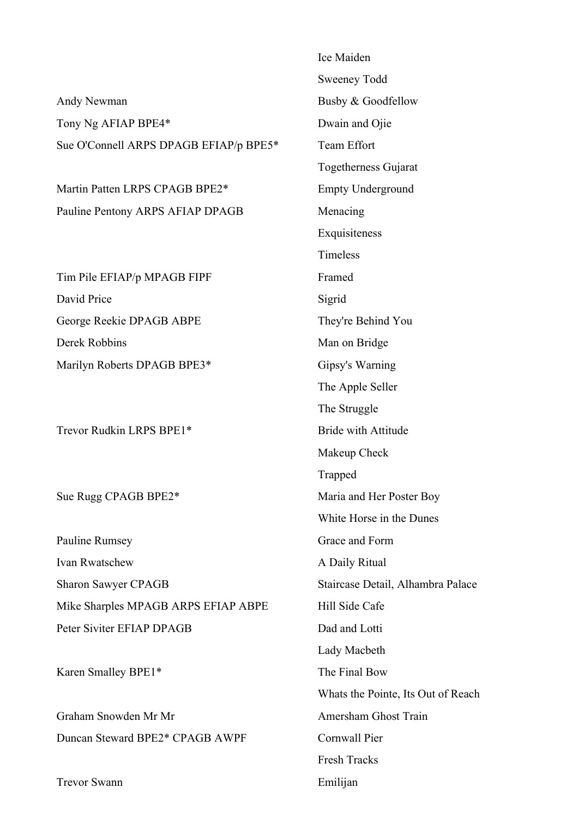|                                        | Ice Maiden                         |
|----------------------------------------|------------------------------------|
|                                        | Sweeney Todd                       |
| Andy Newman                            | Busby & Goodfellow                 |
| Tony Ng AFIAP BPE4*                    | Dwain and Ojie                     |
| Sue O'Connell ARPS DPAGB EFIAP/p BPE5* | <b>Team Effort</b>                 |
|                                        | <b>Togetherness Gujarat</b>        |
| Martin Patten LRPS CPAGB BPE2*         | <b>Empty Underground</b>           |
| Pauline Pentony ARPS AFIAP DPAGB       | Menacing                           |
|                                        | Exquisiteness                      |
|                                        | Timeless                           |
| Tim Pile EFIAP/p MPAGB FIPF            | Framed                             |
| David Price                            | Sigrid                             |
| George Reekie DPAGB ABPE               | They're Behind You                 |
| Derek Robbins                          | Man on Bridge                      |
| Marilyn Roberts DPAGB BPE3*            | Gipsy's Warning                    |
|                                        | The Apple Seller                   |
|                                        | The Struggle                       |
| Trevor Rudkin LRPS BPE1*               | <b>Bride with Attitude</b>         |
|                                        | Makeup Check                       |
|                                        | Trapped                            |
| Sue Rugg CPAGB BPE2*                   | Maria and Her Poster Boy           |
|                                        | White Horse in the Dunes           |
| Pauline Rumsey                         | Grace and Form                     |
| Ivan Rwatschew                         | A Daily Ritual                     |
| <b>Sharon Sawyer CPAGB</b>             | Staircase Detail, Alhambra Palace  |
| Mike Sharples MPAGB ARPS EFIAP ABPE    | Hill Side Cafe                     |
| Peter Siviter EFIAP DPAGB              | Dad and Lotti                      |
|                                        | Lady Macbeth                       |
| Karen Smalley BPE1*                    | The Final Bow                      |
|                                        | Whats the Pointe, Its Out of Reach |
| Graham Snowden Mr Mr                   | Amersham Ghost Train               |
| Duncan Steward BPE2* CPAGB AWPF        | Cornwall Pier                      |
|                                        | <b>Fresh Tracks</b>                |
| <b>Trevor Swann</b>                    | Emilijan                           |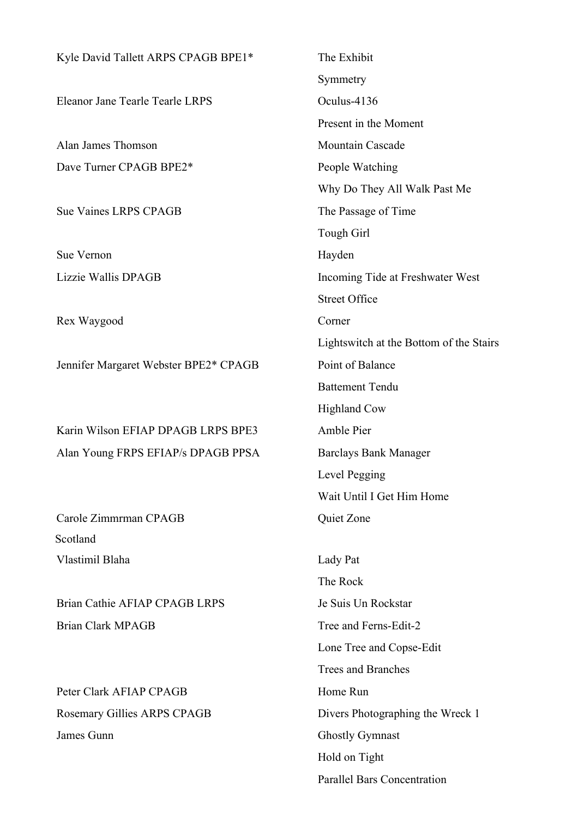| Kyle David Tallett ARPS CPAGB BPE1*    | The Exhibit                             |
|----------------------------------------|-----------------------------------------|
|                                        | Symmetry                                |
| <b>Eleanor Jane Tearle Tearle LRPS</b> | Oculus-4136                             |
|                                        | Present in the Moment                   |
| Alan James Thomson                     | <b>Mountain Cascade</b>                 |
| Dave Turner CPAGB BPE2*                | People Watching                         |
|                                        | Why Do They All Walk Past Me            |
| <b>Sue Vaines LRPS CPAGB</b>           | The Passage of Time                     |
|                                        | Tough Girl                              |
| Sue Vernon                             | Hayden                                  |
| Lizzie Wallis DPAGB                    | Incoming Tide at Freshwater West        |
|                                        | <b>Street Office</b>                    |
| Rex Waygood                            | Corner                                  |
|                                        | Lightswitch at the Bottom of the Stairs |
| Jennifer Margaret Webster BPE2* CPAGB  | Point of Balance                        |
|                                        | <b>Battement Tendu</b>                  |
|                                        | <b>Highland Cow</b>                     |
| Karin Wilson EFIAP DPAGB LRPS BPE3     | Amble Pier                              |
| Alan Young FRPS EFIAP/s DPAGB PPSA     | <b>Barclays Bank Manager</b>            |
|                                        | Level Pegging                           |
|                                        | Wait Until I Get Him Home               |
| Carole Zimmrman CPAGB                  | Quiet Zone                              |
| Scotland                               |                                         |
| Vlastimil Blaha                        | Lady Pat                                |
|                                        | The Rock                                |
| Brian Cathie AFIAP CPAGB LRPS          | Je Suis Un Rockstar                     |
| <b>Brian Clark MPAGB</b>               | Tree and Ferns-Edit-2                   |
|                                        | Lone Tree and Copse-Edit                |
|                                        | <b>Trees and Branches</b>               |
| Peter Clark AFIAP CPAGB                | Home Run                                |
| Rosemary Gillies ARPS CPAGB            | Divers Photographing the Wreck 1        |
| James Gunn                             | <b>Ghostly Gymnast</b>                  |
|                                        | Hold on Tight                           |
|                                        | <b>Parallel Bars Concentration</b>      |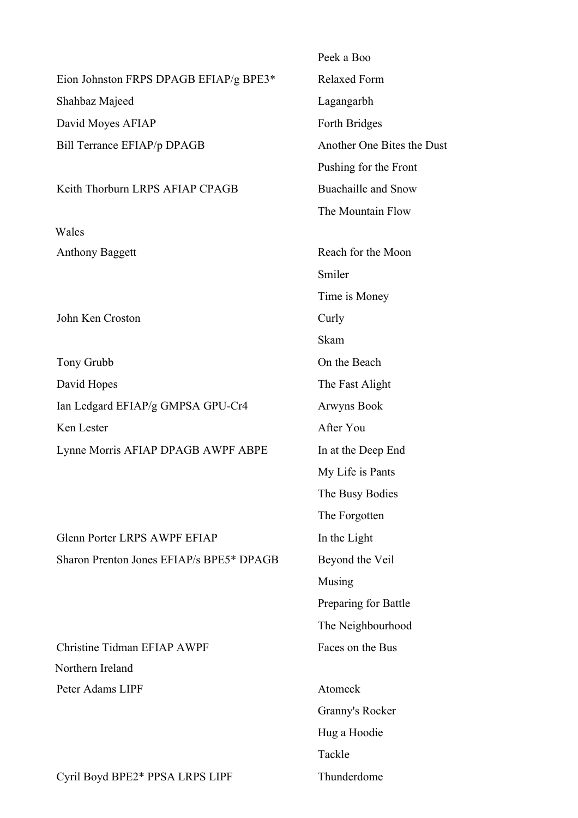|                                          | I CUN A DUU                |
|------------------------------------------|----------------------------|
| Eion Johnston FRPS DPAGB EFIAP/g BPE3*   | <b>Relaxed Form</b>        |
| Shahbaz Majeed                           | Lagangarbh                 |
| David Moyes AFIAP                        | Forth Bridges              |
| Bill Terrance EFIAP/p DPAGB              | Another One Bites the Dust |
|                                          | Pushing for the Front      |
| Keith Thorburn LRPS AFIAP CPAGB          | <b>Buachaille and Snow</b> |
|                                          | The Mountain Flow          |
| Wales                                    |                            |
| <b>Anthony Baggett</b>                   | Reach for the Moon         |
|                                          | Smiler                     |
|                                          | Time is Money              |
| John Ken Croston                         | Curly                      |
|                                          | Skam                       |
| Tony Grubb                               | On the Beach               |
| David Hopes                              | The Fast Alight            |
| Ian Ledgard EFIAP/g GMPSA GPU-Cr4        | <b>Arwyns Book</b>         |
| Ken Lester                               | After You                  |
| Lynne Morris AFIAP DPAGB AWPF ABPE       | In at the Deep End         |
|                                          | My Life is Pants           |
|                                          | The Busy Bodies            |
|                                          | The Forgotten              |
| <b>Glenn Porter LRPS AWPF EFIAP</b>      | In the Light               |
| Sharon Prenton Jones EFIAP/s BPE5* DPAGB | Beyond the Veil            |
|                                          | Musing                     |
|                                          | Preparing for Battle       |
|                                          | The Neighbourhood          |
| Christine Tidman EFIAP AWPF              | Faces on the Bus           |
| Northern Ireland                         |                            |
| Peter Adams LIPF                         | Atomeck                    |
|                                          | Granny's Rocker            |
|                                          | Hug a Hoodie               |
|                                          |                            |

Cyril Boyd BPE2\* PPSA LRPS LIPF Thunderdome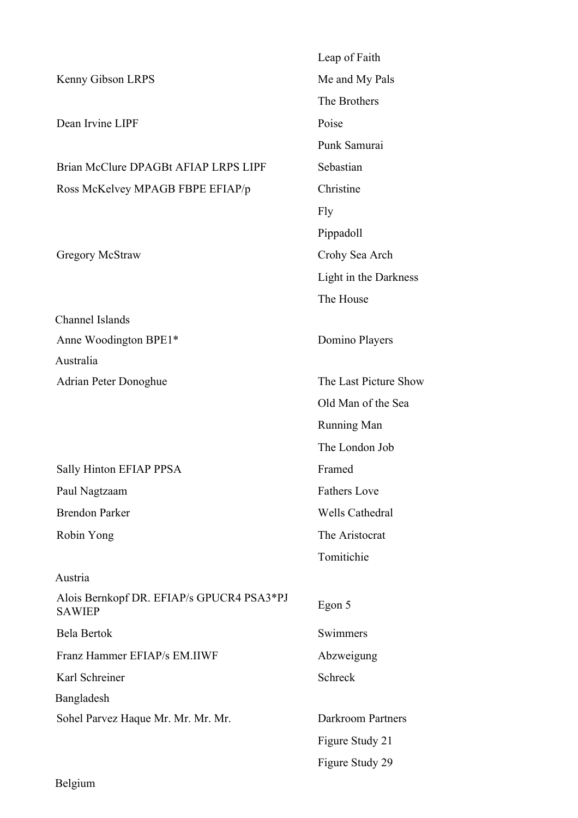|                                                            | Leap of Faith            |
|------------------------------------------------------------|--------------------------|
| Kenny Gibson LRPS                                          | Me and My Pals           |
|                                                            | The Brothers             |
| Dean Irvine LIPF                                           | Poise                    |
|                                                            | Punk Samurai             |
| Brian McClure DPAGBt AFIAP LRPS LIPF                       | Sebastian                |
| Ross McKelvey MPAGB FBPE EFIAP/p                           | Christine                |
|                                                            | Fly                      |
|                                                            | Pippadoll                |
| <b>Gregory McStraw</b>                                     | Crohy Sea Arch           |
|                                                            | Light in the Darkness    |
|                                                            | The House                |
| <b>Channel Islands</b>                                     |                          |
| Anne Woodington BPE1*                                      | Domino Players           |
| Australia                                                  |                          |
| <b>Adrian Peter Donoghue</b>                               | The Last Picture Show    |
|                                                            | Old Man of the Sea       |
|                                                            | <b>Running Man</b>       |
|                                                            | The London Job           |
| Sally Hinton EFIAP PPSA                                    | Framed                   |
| Paul Nagtzaam                                              | <b>Fathers Love</b>      |
| <b>Brendon Parker</b>                                      | <b>Wells Cathedral</b>   |
| Robin Yong                                                 | The Aristocrat           |
|                                                            | Tomitichie               |
| Austria                                                    |                          |
| Alois Bernkopf DR. EFIAP/s GPUCR4 PSA3*PJ<br><b>SAWIEP</b> | Egon 5                   |
| <b>Bela Bertok</b>                                         | Swimmers                 |
| Franz Hammer EFIAP/s EM.IIWF                               | Abzweigung               |
| Karl Schreiner                                             | Schreck                  |
| Bangladesh                                                 |                          |
| Sohel Parvez Haque Mr. Mr. Mr. Mr.                         | <b>Darkroom Partners</b> |
|                                                            | Figure Study 21          |
|                                                            | Figure Study 29          |

Belgium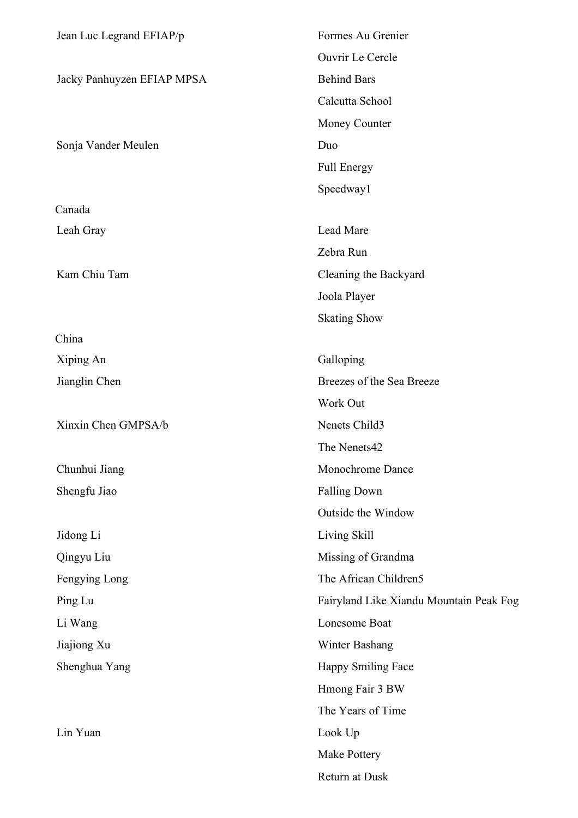| Jean Luc Legrand EFIAP/p   | Formes Au Grenier                       |
|----------------------------|-----------------------------------------|
|                            | Ouvrir Le Cercle                        |
| Jacky Panhuyzen EFIAP MPSA | <b>Behind Bars</b>                      |
|                            | Calcutta School                         |
|                            | Money Counter                           |
| Sonja Vander Meulen        | Duo                                     |
|                            | <b>Full Energy</b>                      |
|                            | Speedway1                               |
| Canada                     |                                         |
| Leah Gray                  | Lead Mare                               |
|                            | Zebra Run                               |
| Kam Chiu Tam               | Cleaning the Backyard                   |
|                            | Joola Player                            |
|                            | <b>Skating Show</b>                     |
| China                      |                                         |
| Xiping An                  | Galloping                               |
| Jianglin Chen              | Breezes of the Sea Breeze               |
|                            | Work Out                                |
| Xinxin Chen GMPSA/b        | Nenets Child3                           |
|                            | The Nenets42                            |
| Chunhui Jiang              | Monochrome Dance                        |
| Shengfu Jiao               | <b>Falling Down</b>                     |
|                            | Outside the Window                      |
| Jidong Li                  | Living Skill                            |
| Qingyu Liu                 | Missing of Grandma                      |
| Fengying Long              | The African Children5                   |
| Ping Lu                    | Fairyland Like Xiandu Mountain Peak Fog |
| Li Wang                    | Lonesome Boat                           |
| Jiajiong Xu                | Winter Bashang                          |
| Shenghua Yang              | Happy Smiling Face                      |
|                            | Hmong Fair 3 BW                         |
|                            | The Years of Time                       |
| Lin Yuan                   | Look Up                                 |
|                            | Make Pottery                            |
|                            | Return at Dusk                          |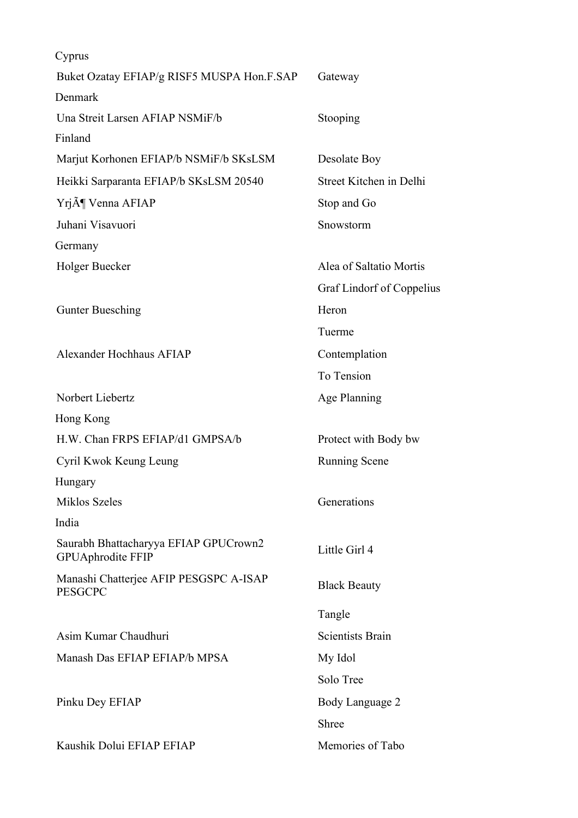| Cyprus                                                            |                           |
|-------------------------------------------------------------------|---------------------------|
| Buket Ozatay EFIAP/g RISF5 MUSPA Hon.F.SAP                        | Gateway                   |
| Denmark                                                           |                           |
| Una Streit Larsen AFIAP NSMiF/b                                   | Stooping                  |
| Finland                                                           |                           |
| Marjut Korhonen EFIAP/b NSMiF/b SKsLSM                            | Desolate Boy              |
| Heikki Sarparanta EFIAP/b SKsLSM 20540                            | Street Kitchen in Delhi   |
| Yrj¶ Venna AFIAP                                                  | Stop and Go               |
| Juhani Visavuori                                                  | Snowstorm                 |
| Germany                                                           |                           |
| Holger Buecker                                                    | Alea of Saltatio Mortis   |
|                                                                   | Graf Lindorf of Coppelius |
| <b>Gunter Buesching</b>                                           | Heron                     |
|                                                                   | Tuerme                    |
| <b>Alexander Hochhaus AFIAP</b>                                   | Contemplation             |
|                                                                   | To Tension                |
| Norbert Liebertz                                                  | Age Planning              |
| Hong Kong                                                         |                           |
| H.W. Chan FRPS EFIAP/d1 GMPSA/b                                   | Protect with Body bw      |
| Cyril Kwok Keung Leung                                            | <b>Running Scene</b>      |
| Hungary                                                           |                           |
| <b>Miklos Szeles</b>                                              | Generations               |
| India                                                             |                           |
| Saurabh Bhattacharyya EFIAP GPUCrown2<br><b>GPUAphrodite FFIP</b> | Little Girl 4             |
| Manashi Chatterjee AFIP PESGSPC A-ISAP<br><b>PESGCPC</b>          | <b>Black Beauty</b>       |
|                                                                   | Tangle                    |
| Asim Kumar Chaudhuri                                              | <b>Scientists Brain</b>   |
| Manash Das EFIAP EFIAP/b MPSA                                     | My Idol                   |
|                                                                   | Solo Tree                 |
| Pinku Dey EFIAP                                                   | Body Language 2           |
|                                                                   | Shree                     |
| Kaushik Dolui EFIAP EFIAP                                         | Memories of Tabo          |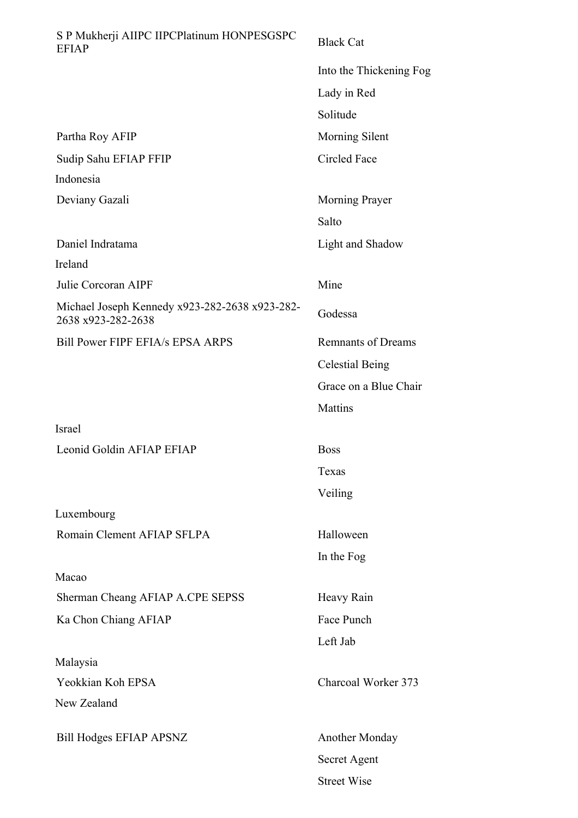| S P Mukherji AIIPC IIPCPlatinum HONPESGSPC<br><b>EFIAP</b>           | <b>Black Cat</b>          |
|----------------------------------------------------------------------|---------------------------|
|                                                                      | Into the Thickening Fog   |
|                                                                      | Lady in Red               |
|                                                                      | Solitude                  |
| Partha Roy AFIP                                                      | Morning Silent            |
| Sudip Sahu EFIAP FFIP                                                | Circled Face              |
| Indonesia                                                            |                           |
| Deviany Gazali                                                       | Morning Prayer            |
|                                                                      | Salto                     |
| Daniel Indratama                                                     | Light and Shadow          |
| Ireland                                                              |                           |
| Julie Corcoran AIPF                                                  | Mine                      |
| Michael Joseph Kennedy x923-282-2638 x923-282-<br>2638 x923-282-2638 | Godessa                   |
| Bill Power FIPF EFIA/s EPSA ARPS                                     | <b>Remnants of Dreams</b> |
|                                                                      | <b>Celestial Being</b>    |
|                                                                      | Grace on a Blue Chair     |
|                                                                      | Mattins                   |
| Israel                                                               |                           |
| Leonid Goldin AFIAP EFIAP                                            | <b>Boss</b>               |
|                                                                      | Texas                     |
|                                                                      | Veiling                   |
| Luxembourg                                                           |                           |
| Romain Clement AFIAP SFLPA                                           | Halloween                 |
|                                                                      | In the Fog                |
| Macao                                                                |                           |
| Sherman Cheang AFIAP A.CPE SEPSS                                     | Heavy Rain                |
| Ka Chon Chiang AFIAP                                                 | Face Punch                |
|                                                                      | Left Jab                  |
| Malaysia                                                             |                           |
| Yeokkian Koh EPSA                                                    | Charcoal Worker 373       |
| New Zealand                                                          |                           |
| <b>Bill Hodges EFIAP APSNZ</b>                                       | <b>Another Monday</b>     |
|                                                                      | Secret Agent              |
|                                                                      | <b>Street Wise</b>        |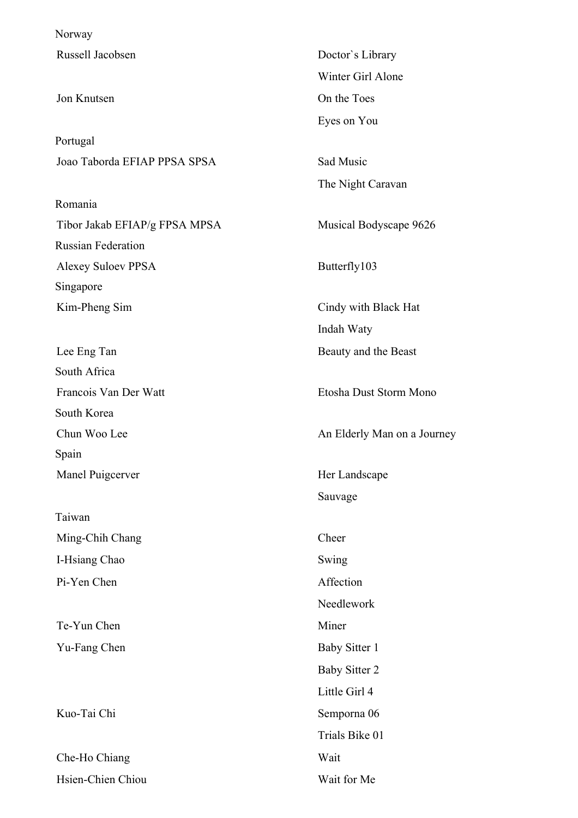Norway

Portugal Joao Taborda EFIAP PPSA SPSA SANTA Sad Music

Romania Tibor Jakab EFIAP/g FPSA MPSA Musical Bodyscape 9626 Russian Federation Alexey Suloev PPSA Butterfly103 Singapore

South Africa South Korea Spain

Taiwan Ming-Chih Chang Cheer I-Hsiang Chao Swing Pi-Yen Chen Affection

Che-Ho Chiang Wait Hsien-Chien Chiou Wait for Me

Russell Jacobsen Doctor's Library Winter Girl Alone Jon Knutsen On the Toes Eyes on You The Night Caravan Kim-Pheng Sim Cindy with Black Hat Indah Waty Lee Eng Tan Beauty and the Beast Francois Van Der Watt Etosha Dust Storm Mono Chun Woo Lee An Elderly Man on a Journey Manel Puigcerver **Her Landscape** Her Landscape Sauvage Needlework Te-Yun Chen Miner Yu-Fang Chen Baby Sitter 1 Baby Sitter 2 Little Girl 4 Kuo-Tai Chi Semporna 06 Trials Bike 01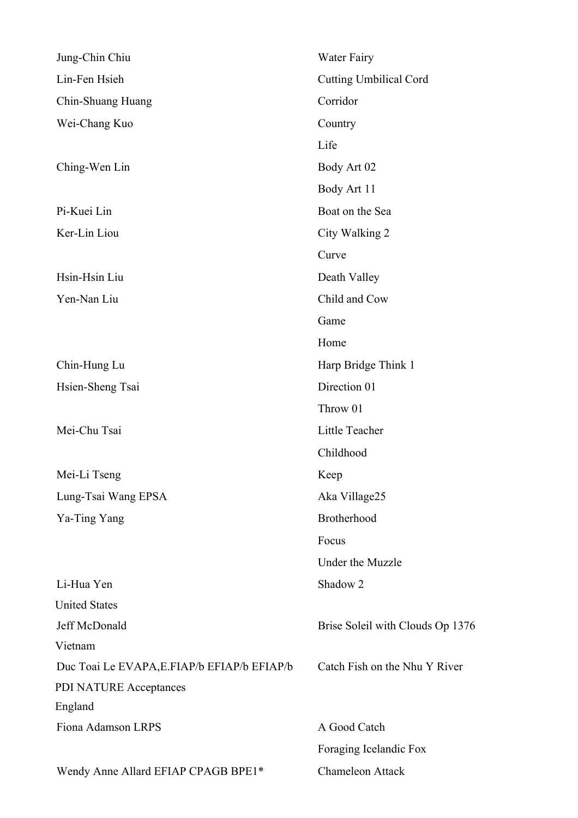| Jung-Chin Chiu                               | Water Fairy                      |
|----------------------------------------------|----------------------------------|
| Lin-Fen Hsieh                                | <b>Cutting Umbilical Cord</b>    |
| Chin-Shuang Huang                            | Corridor                         |
| Wei-Chang Kuo                                | Country                          |
|                                              | Life                             |
| Ching-Wen Lin                                | Body Art 02                      |
|                                              | Body Art 11                      |
| Pi-Kuei Lin                                  | Boat on the Sea                  |
| Ker-Lin Liou                                 | City Walking 2                   |
|                                              | Curve                            |
| Hsin-Hsin Liu                                | Death Valley                     |
| Yen-Nan Liu                                  | Child and Cow                    |
|                                              | Game                             |
|                                              | Home                             |
| Chin-Hung Lu                                 | Harp Bridge Think 1              |
| Hsien-Sheng Tsai                             | Direction 01                     |
|                                              | Throw 01                         |
| Mei-Chu Tsai                                 | Little Teacher                   |
|                                              | Childhood                        |
| Mei-Li Tseng                                 | Keep                             |
| Lung-Tsai Wang EPSA                          | Aka Village25                    |
| Ya-Ting Yang                                 | Brotherhood                      |
|                                              | Focus                            |
|                                              | Under the Muzzle                 |
| Li-Hua Yen                                   | Shadow <sub>2</sub>              |
| <b>United States</b>                         |                                  |
| Jeff McDonald                                | Brise Soleil with Clouds Op 1376 |
| Vietnam                                      |                                  |
| Duc Toai Le EVAPA, E. FIAP/b EFIAP/b EFIAP/b | Catch Fish on the Nhu Y River    |
| PDI NATURE Acceptances                       |                                  |
| England                                      |                                  |
| Fiona Adamson LRPS                           | A Good Catch                     |
|                                              | Foraging Icelandic Fox           |
| Wendy Anne Allard EFIAP CPAGB BPE1*          | <b>Chameleon Attack</b>          |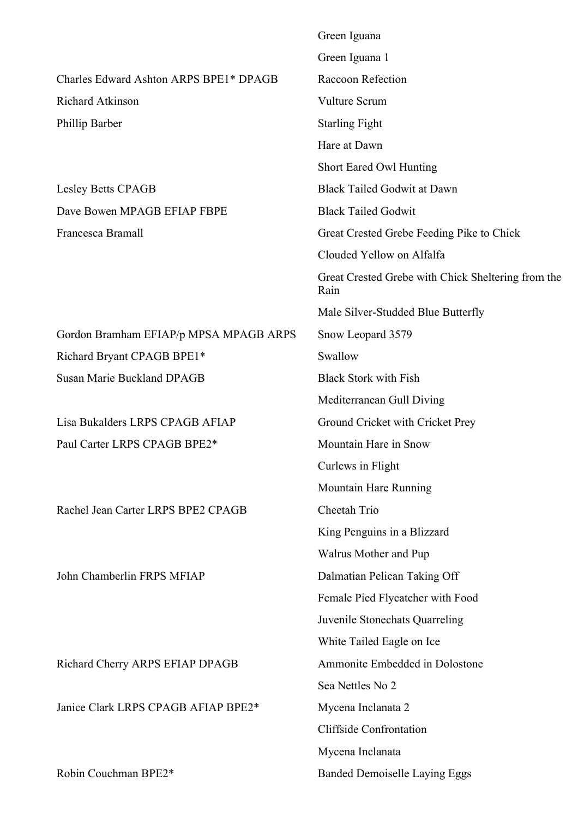|                                        | Green Iguana                                               |
|----------------------------------------|------------------------------------------------------------|
|                                        | Green Iguana 1                                             |
| Charles Edward Ashton ARPS BPE1* DPAGB | Raccoon Refection                                          |
| Richard Atkinson                       | Vulture Scrum                                              |
| Phillip Barber                         | <b>Starling Fight</b>                                      |
|                                        | Hare at Dawn                                               |
|                                        | <b>Short Eared Owl Hunting</b>                             |
| <b>Lesley Betts CPAGB</b>              | <b>Black Tailed Godwit at Dawn</b>                         |
| Dave Bowen MPAGB EFIAP FBPE            | <b>Black Tailed Godwit</b>                                 |
| Francesca Bramall                      | Great Crested Grebe Feeding Pike to Chick                  |
|                                        | Clouded Yellow on Alfalfa                                  |
|                                        | Great Crested Grebe with Chick Sheltering from the<br>Rain |
|                                        | Male Silver-Studded Blue Butterfly                         |
| Gordon Bramham EFIAP/p MPSA MPAGB ARPS | Snow Leopard 3579                                          |
| Richard Bryant CPAGB BPE1*             | Swallow                                                    |
| <b>Susan Marie Buckland DPAGB</b>      | <b>Black Stork with Fish</b>                               |
|                                        | Mediterranean Gull Diving                                  |
| Lisa Bukalders LRPS CPAGB AFIAP        | Ground Cricket with Cricket Prey                           |
| Paul Carter LRPS CPAGB BPE2*           | Mountain Hare in Snow                                      |
|                                        | Curlews in Flight                                          |
|                                        | Mountain Hare Running                                      |
| Rachel Jean Carter LRPS BPE2 CPAGB     | Cheetah Trio                                               |
|                                        | King Penguins in a Blizzard                                |
|                                        | Walrus Mother and Pup                                      |
| John Chamberlin FRPS MFIAP             | Dalmatian Pelican Taking Off                               |
|                                        | Female Pied Flycatcher with Food                           |
|                                        | Juvenile Stonechats Quarreling                             |
|                                        | White Tailed Eagle on Ice                                  |
| Richard Cherry ARPS EFIAP DPAGB        | Ammonite Embedded in Dolostone                             |
|                                        | Sea Nettles No 2                                           |
| Janice Clark LRPS CPAGB AFIAP BPE2*    | Mycena Inclanata 2                                         |
|                                        | <b>Cliffside Confrontation</b>                             |
|                                        | Mycena Inclanata                                           |
| Robin Couchman BPE2*                   | <b>Banded Demoiselle Laying Eggs</b>                       |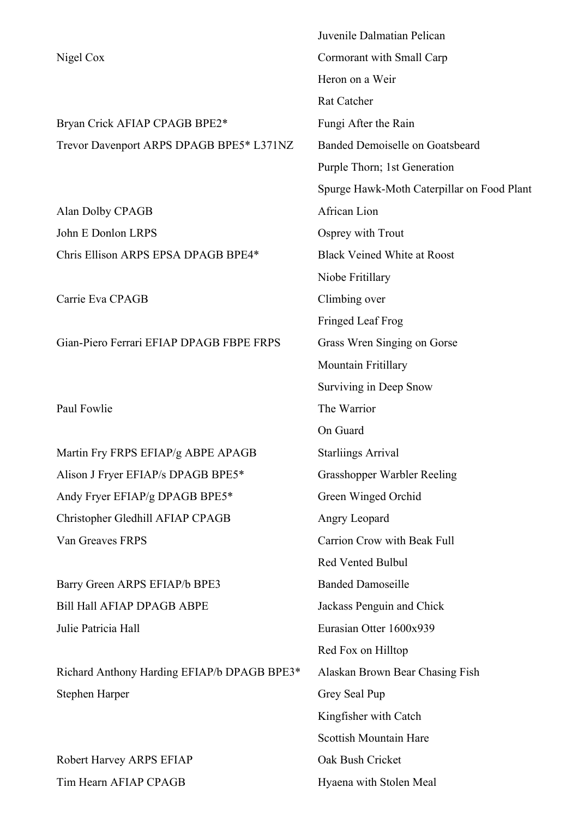|                                          | Juvenile Dalmatian Pelican                 |
|------------------------------------------|--------------------------------------------|
| Nigel Cox                                | Cormorant with Small Carp                  |
|                                          | Heron on a Weir                            |
|                                          | <b>Rat Catcher</b>                         |
| Bryan Crick AFIAP CPAGB BPE2*            | Fungi After the Rain                       |
| Trevor Davenport ARPS DPAGB BPE5* L371NZ | Banded Demoiselle on Goatsbeard            |
|                                          | Purple Thorn; 1st Generation               |
|                                          | Spurge Hawk-Moth Caterpillar on Food Plant |
| Alan Dolby CPAGB                         | African Lion                               |
| John E Donlon LRPS                       | Osprey with Trout                          |
| Chris Ellison ARPS EPSA DPAGB BPE4*      | <b>Black Veined White at Roost</b>         |
|                                          | Niobe Fritillary                           |
| Carrie Eva CPAGB                         | Climbing over                              |
|                                          |                                            |

Gian-Piero Ferrari EFIAP DPAGB FBPE FRPS Grass Wren Singing on Gorse

Martin Fry FRPS EFIAP/g ABPE APAGB Starliings Arrival Alison J Fryer EFIAP/s DPAGB BPE5\* Grasshopper Warbler Reeling Andy Fryer EFIAP/g DPAGB BPE5\* Green Winged Orchid Christopher Gledhill AFIAP CPAGB Angry Leopard Van Greaves FRPS Carrion Crow with Beak Full

Barry Green ARPS EFIAP/b BPE3 Banded Damoseille Bill Hall AFIAP DPAGB ABPE Jackass Penguin and Chick Julie Patricia Hall Eurasian Otter 1600x939

Richard Anthony Harding EFIAP/b DPAGB BPE3\* Alaskan Brown Bear Chasing Fish Stephen Harper Grey Seal Pup

Robert Harvey ARPS EFIAP Oak Bush Cricket Tim Hearn AFIAP CPAGB Hyaena with Stolen Meal

Fringed Leaf Frog Mountain Fritillary Surviving in Deep Snow Paul Fowlie The Warrior On Guard Red Vented Bulbul Red Fox on Hilltop Kingfisher with Catch Scottish Mountain Hare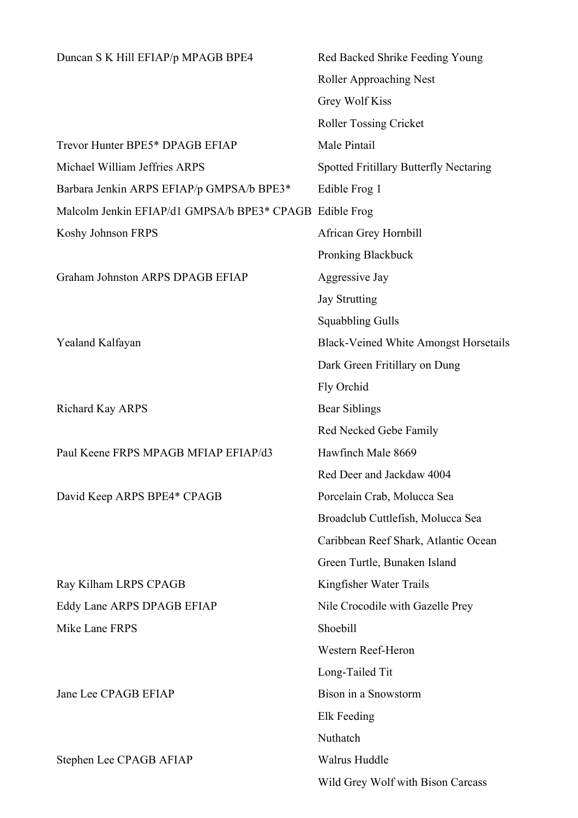| Duncan S K Hill EFIAP/p MPAGB BPE4                      | Red Backed Shrike Feeding Young              |
|---------------------------------------------------------|----------------------------------------------|
|                                                         | <b>Roller Approaching Nest</b>               |
|                                                         | Grey Wolf Kiss                               |
|                                                         | <b>Roller Tossing Cricket</b>                |
| Trevor Hunter BPE5* DPAGB EFIAP                         | Male Pintail                                 |
| Michael William Jeffries ARPS                           | Spotted Fritillary Butterfly Nectaring       |
| Barbara Jenkin ARPS EFIAP/p GMPSA/b BPE3*               | Edible Frog 1                                |
| Malcolm Jenkin EFIAP/d1 GMPSA/b BPE3* CPAGB Edible Frog |                                              |
| Koshy Johnson FRPS                                      | African Grey Hornbill                        |
|                                                         | Pronking Blackbuck                           |
| Graham Johnston ARPS DPAGB EFIAP                        | Aggressive Jay                               |
|                                                         | <b>Jay Strutting</b>                         |
|                                                         | <b>Squabbling Gulls</b>                      |
| Yealand Kalfayan                                        | <b>Black-Veined White Amongst Horsetails</b> |
|                                                         | Dark Green Fritillary on Dung                |
|                                                         | Fly Orchid                                   |
| Richard Kay ARPS                                        | Bear Siblings                                |
|                                                         | Red Necked Gebe Family                       |
| Paul Keene FRPS MPAGB MFIAP EFIAP/d3                    | Hawfinch Male 8669                           |
|                                                         | Red Deer and Jackdaw 4004                    |
| David Keep ARPS BPE4* CPAGB                             | Porcelain Crab, Molucca Sea                  |
|                                                         | Broadclub Cuttlefish, Molucca Sea            |
|                                                         | Caribbean Reef Shark, Atlantic Ocean         |
|                                                         | Green Turtle, Bunaken Island                 |
| Ray Kilham LRPS CPAGB                                   | Kingfisher Water Trails                      |
| Eddy Lane ARPS DPAGB EFIAP                              | Nile Crocodile with Gazelle Prey             |
| Mike Lane FRPS                                          | Shoebill                                     |
|                                                         | Western Reef-Heron                           |
|                                                         | Long-Tailed Tit                              |
| Jane Lee CPAGB EFIAP                                    | Bison in a Snowstorm                         |
|                                                         | Elk Feeding                                  |
|                                                         | Nuthatch                                     |
| Stephen Lee CPAGB AFIAP                                 | Walrus Huddle                                |
|                                                         | Wild Grey Wolf with Bison Carcass            |
|                                                         |                                              |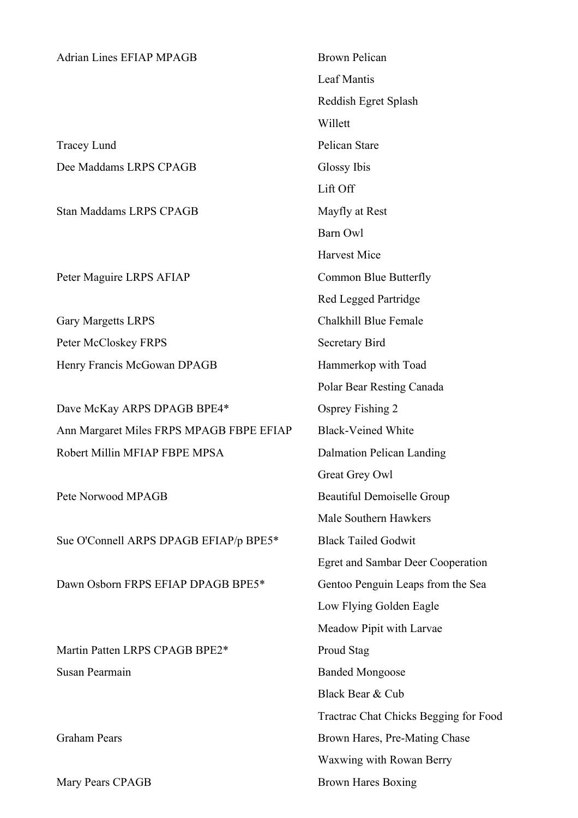## Adrian Lines EFIAP MPAGB Brown Pelican

Tracey Lund Pelican Stare Dee Maddams LRPS CPAGB Glossy Ibis

Stan Maddams LRPS CPAGB Mayfly at Rest

Peter Maguire LRPS AFIAP Common Blue Butterfly

Gary Margetts LRPS Chalkhill Blue Female Peter McCloskey FRPS Secretary Bird Henry Francis McGowan DPAGB Hammerkop with Toad

Dave McKay ARPS DPAGB BPE4\* Osprey Fishing 2 Ann Margaret Miles FRPS MPAGB FBPE EFIAP Black-Veined White Robert Millin MFIAP FBPE MPSA Dalmation Pelican Landing

Sue O'Connell ARPS DPAGB EFIAP/p BPE5\* Black Tailed Godwit

Dawn Osborn FRPS EFIAP DPAGB BPE5\* Gentoo Penguin Leaps from the Sea

Martin Patten LRPS CPAGB BPE2\* Proud Stag Susan Pearmain Banded Mongoose

Mary Pears CPAGB Brown Hares Boxing

Leaf Mantis Reddish Egret Splash Willett Lift Off Barn Owl Harvest Mice Red Legged Partridge Polar Bear Resting Canada Great Grey Owl Pete Norwood MPAGB Beautiful Demoiselle Group Male Southern Hawkers Egret and Sambar Deer Cooperation Low Flying Golden Eagle Meadow Pipit with Larvae Black Bear & Cub Tractrac Chat Chicks Begging for Food Graham Pears Brown Hares, Pre-Mating Chase Waxwing with Rowan Berry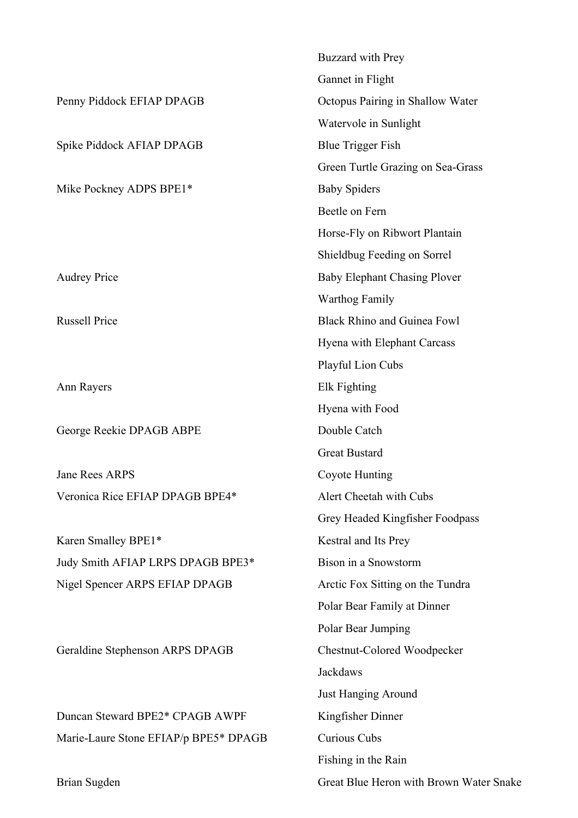|                                       | <b>Buzzard</b> with Prey                |
|---------------------------------------|-----------------------------------------|
|                                       | Gannet in Flight                        |
| Penny Piddock EFIAP DPAGB             | Octopus Pairing in Shallow Water        |
|                                       | Watervole in Sunlight                   |
| Spike Piddock AFIAP DPAGB             | <b>Blue Trigger Fish</b>                |
|                                       | Green Turtle Grazing on Sea-Grass       |
| Mike Pockney ADPS BPE1*               | <b>Baby Spiders</b>                     |
|                                       | Beetle on Fern                          |
|                                       | Horse-Fly on Ribwort Plantain           |
|                                       | Shieldbug Feeding on Sorrel             |
| <b>Audrey Price</b>                   | <b>Baby Elephant Chasing Plover</b>     |
|                                       | <b>Warthog Family</b>                   |
| <b>Russell Price</b>                  | <b>Black Rhino and Guinea Fowl</b>      |
|                                       | Hyena with Elephant Carcass             |
|                                       | <b>Playful Lion Cubs</b>                |
| Ann Rayers                            | Elk Fighting                            |
|                                       | Hyena with Food                         |
| George Reekie DPAGB ABPE              | Double Catch                            |
|                                       | <b>Great Bustard</b>                    |
| <b>Jane Rees ARPS</b>                 | Coyote Hunting                          |
| Veronica Rice EFIAP DPAGB BPE4*       | Alert Cheetah with Cubs                 |
|                                       | Grey Headed Kingfisher Foodpass         |
| Karen Smalley BPE1*                   | Kestral and Its Prey                    |
| Judy Smith AFIAP LRPS DPAGB BPE3*     | Bison in a Snowstorm                    |
| Nigel Spencer ARPS EFIAP DPAGB        | Arctic Fox Sitting on the Tundra        |
|                                       | Polar Bear Family at Dinner             |
|                                       | Polar Bear Jumping                      |
| Geraldine Stephenson ARPS DPAGB       | Chestnut-Colored Woodpecker             |
|                                       | Jackdaws                                |
|                                       | <b>Just Hanging Around</b>              |
| Duncan Steward BPE2* CPAGB AWPF       | Kingfisher Dinner                       |
| Marie-Laure Stone EFIAP/p BPE5* DPAGB | Curious Cubs                            |
|                                       | Fishing in the Rain                     |
| Brian Sugden                          | Great Blue Heron with Brown Water Snake |
|                                       |                                         |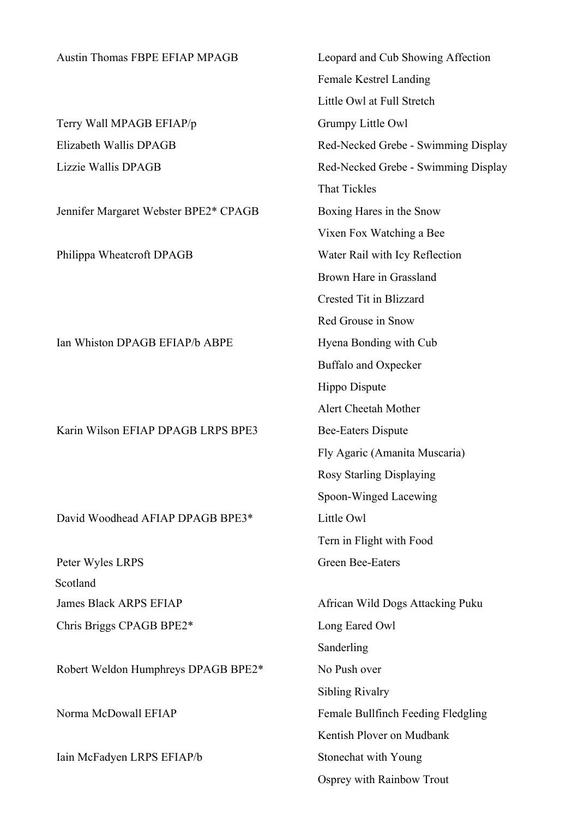| <b>Austin Thomas FBPE EFIAP MPAGB</b> | Leopard and Cub Showing Affection   |
|---------------------------------------|-------------------------------------|
|                                       | Female Kestrel Landing              |
|                                       | Little Owl at Full Stretch          |
| Terry Wall MPAGB EFIAP/p              | Grumpy Little Owl                   |
| Elizabeth Wallis DPAGB                | Red-Necked Grebe - Swimming Display |
| Lizzie Wallis DPAGB                   | Red-Necked Grebe - Swimming Display |
|                                       | <b>That Tickles</b>                 |
| Jennifer Margaret Webster BPE2* CPAGB | Boxing Hares in the Snow            |
|                                       | Vixen Fox Watching a Bee            |
| Philippa Wheatcroft DPAGB             | Water Rail with Icy Reflection      |
|                                       | Brown Hare in Grassland             |
|                                       | Crested Tit in Blizzard             |
|                                       | Red Grouse in Snow                  |
| Ian Whiston DPAGB EFIAP/b ABPE        | Hyena Bonding with Cub              |
|                                       | Buffalo and Oxpecker                |
|                                       | Hippo Dispute                       |
|                                       | Alert Cheetah Mother                |
| Karin Wilson EFIAP DPAGB LRPS BPE3    | <b>Bee-Eaters Dispute</b>           |
|                                       | Fly Agaric (Amanita Muscaria)       |
|                                       | <b>Rosy Starling Displaying</b>     |
|                                       | Spoon-Winged Lacewing               |
| David Woodhead AFIAP DPAGB BPE3*      | Little Owl                          |
|                                       | Tern in Flight with Food            |
| Peter Wyles LRPS                      | <b>Green Bee-Eaters</b>             |
| Scotland                              |                                     |
| <b>James Black ARPS EFIAP</b>         | African Wild Dogs Attacking Puku    |
| Chris Briggs CPAGB BPE2*              | Long Eared Owl                      |
|                                       | Sanderling                          |
| Robert Weldon Humphreys DPAGB BPE2*   | No Push over                        |
|                                       | <b>Sibling Rivalry</b>              |
| Norma McDowall EFIAP                  | Female Bullfinch Feeding Fledgling  |
|                                       | Kentish Plover on Mudbank           |
| Iain McFadyen LRPS EFIAP/b            | Stonechat with Young                |
|                                       | Osprey with Rainbow Trout           |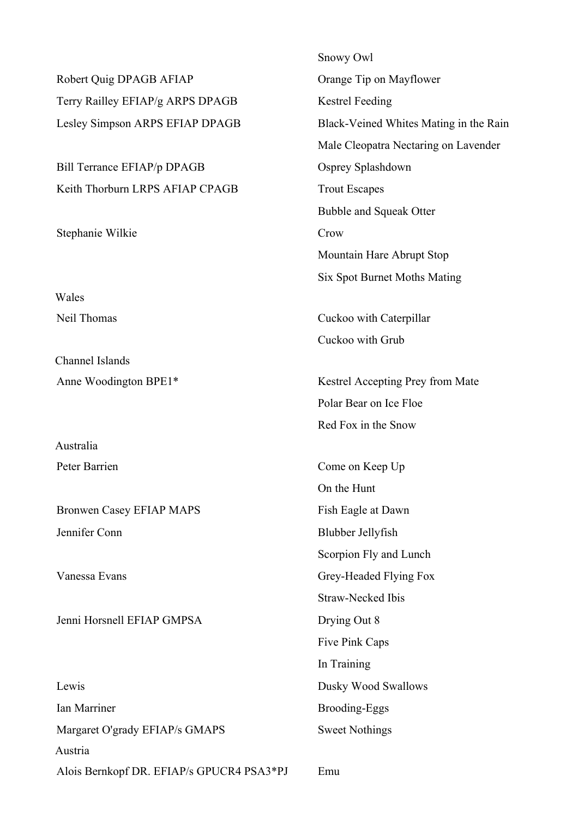Robert Quig DPAGB AFIAP Orange Tip on Mayflower Terry Railley EFIAP/g ARPS DPAGB Kestrel Feeding

Bill Terrance EFIAP/p DPAGB Osprey Splashdown Keith Thorburn LRPS AFIAP CPAGB Trout Escapes

Stephanie Wilkie Crow

Wales

Channel Islands

Australia

Bronwen Casey EFIAP MAPS Fish Eagle at Dawn Jennifer Conn Blubber Jellyfish

Jenni Horsnell EFIAP GMPSA Drying Out 8

Lewis Dusky Wood Swallows Ian Marriner Brooding-Eggs Margaret O'grady EFIAP/s GMAPS Sweet Nothings Austria Alois Bernkopf DR. EFIAP/s GPUCR4 PSA3\*PJ Emu

Snowy Owl Lesley Simpson ARPS EFIAP DPAGB Black-Veined Whites Mating in the Rain Male Cleopatra Nectaring on Lavender Bubble and Squeak Otter Mountain Hare Abrupt Stop Six Spot Burnet Moths Mating

Neil Thomas Cuckoo with Caterpillar Cuckoo with Grub

Anne Woodington BPE1\* Kestrel Accepting Prey from Mate Polar Bear on Ice Floe Red Fox in the Snow

Peter Barrien Come on Keep Up On the Hunt Scorpion Fly and Lunch Vanessa Evans Grey-Headed Flying Fox Straw-Necked Ibis Five Pink Caps In Training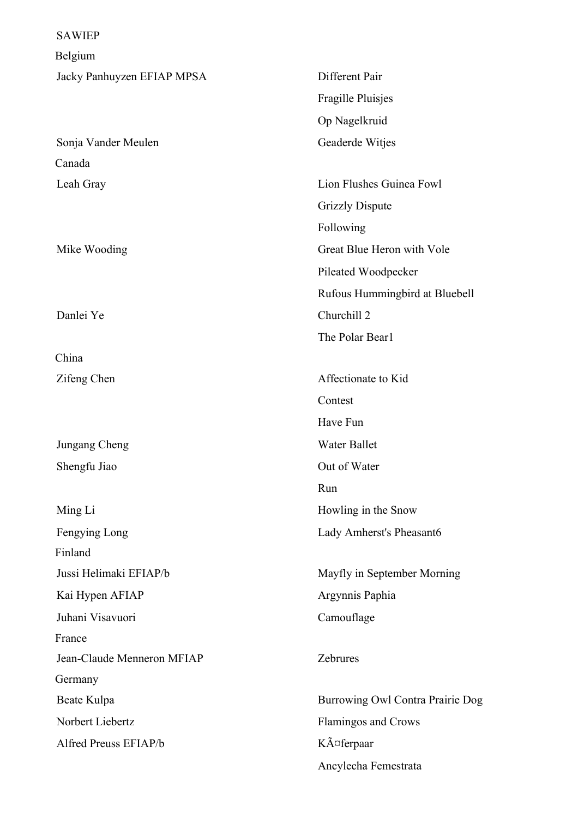SAWIEP Belgium Jacky Panhuyzen EFIAP MPSA Different Pair Fragille Pluisjes Op Nagelkruid Sonja Vander Meulen Geaderde Witjes Canada Leah Gray Lion Flushes Guinea Fowl Grizzly Dispute Following Mike Wooding Great Blue Heron with Vole Pileated Woodpecker Rufous Hummingbird at Bluebell Danlei Ye Churchill 2 The Polar Bear1 China Zifeng Chen Affectionate to Kid **Contest** Have Fun Jungang Cheng Water Ballet Shengfu Jiao Out of Water Run Ming Li Howling in the Snow Fengying Long **Lady Amherst's Pheasant6** Finland Jussi Helimaki EFIAP/b Mayfly in September Morning Kai Hypen AFIAP Argynnis Paphia Juhani Visavuori Camouflage France Jean-Claude Menneron MFIAP Zebrures Germany Beate Kulpa Burrowing Owl Contra Prairie Dog Norbert Liebertz Flamingos and Crows Alfred Preuss EFIAP/b  $K\tilde{A}$  $\sigma$ ferpaar Ancylecha Femestrata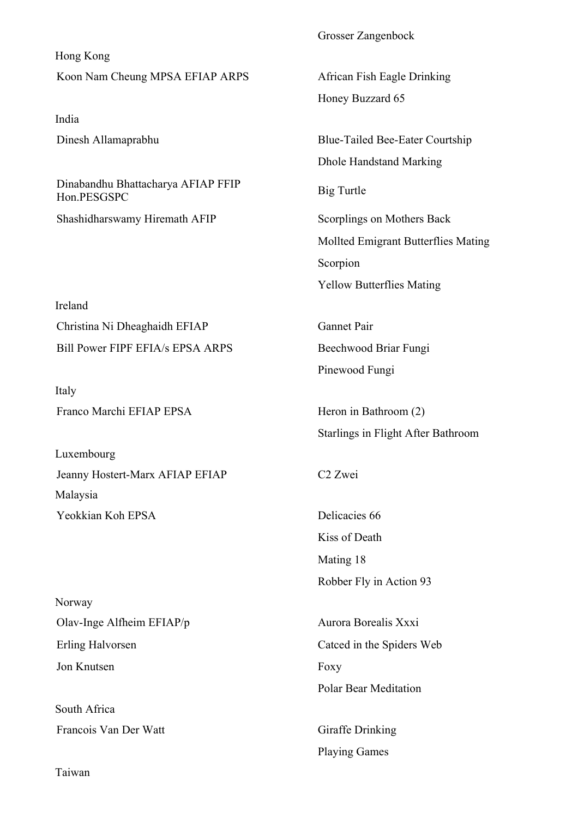Hong Kong Koon Nam Cheung MPSA EFIAP ARPS African Fish Eagle Drinking

India

Dinabandhu Bhattacharya AFIAP FFIP<br>Hon.PESGSPC

Shashidharswamy Hiremath AFIP Scorplings on Mothers Back

Ireland Christina Ni Dheaghaidh EFIAP Gannet Pair Bill Power FIPF EFIA/s EPSA ARPS Beechwood Briar Fungi

Italy Franco Marchi EFIAP EPSA Heron in Bathroom (2)

Luxembourg Jeanny Hostert-Marx AFIAP EFIAP C2 Zwei Malaysia Yeokkian Koh EPSA Delicacies 66

Norway Olav-Inge Alfheim EFIAP/p Aurora Borealis Xxxi Erling Halvorsen Catced in the Spiders Web Jon Knutsen Foxy

South Africa Francois Van Der Watt Giraffe Drinking

Grosser Zangenbock

Honey Buzzard 65

Dinesh Allamaprabhu Blue-Tailed Bee-Eater Courtship Dhole Handstand Marking Mollted Emigrant Butterflies Mating

> Scorpion Yellow Butterflies Mating

Pinewood Fungi

Starlings in Flight After Bathroom

Kiss of Death Mating 18 Robber Fly in Action 93

Polar Bear Meditation

Playing Games

Taiwan